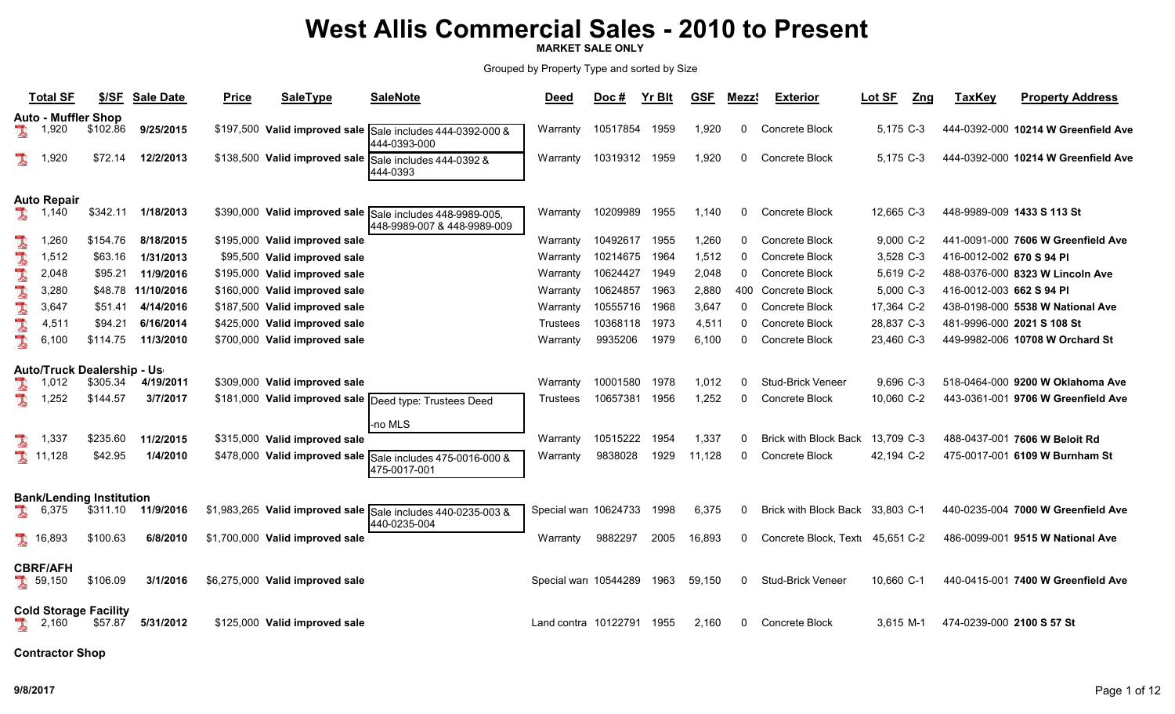MARKET SALE ONLY

Grouped by Property Type and sorted by Size

|    | <b>Total SF</b>            | \$/SF                                       | <b>Sale Date</b> | <b>Price</b> | <b>SaleType</b>                 | <b>SaleNote</b>                                                                          | <b>Deed</b>           | $Doc$ #  | <b>Yr Blt</b> | <b>GSF</b> | Mezz!    | <b>Exterior</b>                  | Lot SF<br>$Z$ ng | <b>TaxKey</b>              | <b>Property Address</b>             |
|----|----------------------------|---------------------------------------------|------------------|--------------|---------------------------------|------------------------------------------------------------------------------------------|-----------------------|----------|---------------|------------|----------|----------------------------------|------------------|----------------------------|-------------------------------------|
|    | <b>Auto - Muffler Shop</b> |                                             |                  |              |                                 |                                                                                          |                       |          |               |            |          |                                  |                  |                            |                                     |
|    | 1,920                      | \$102.86                                    | 9/25/2015        |              |                                 | \$197,500 Valid improved sale Sale includes 444-0392-000 &<br>444-0393-000               | Warranty              | 10517854 | 1959          | 1,920      | $\Omega$ | Concrete Block                   | 5,175 C-3        |                            | 444-0392-000 10214 W Greenfield Ave |
| I  | 1,920                      | \$72.14                                     | 12/2/2013        |              |                                 | \$138,500 Valid improved sale Sale includes 444-0392 &<br>444-0393                       | Warranty              | 10319312 | 1959          | 1,920      | $\Omega$ | Concrete Block                   | 5,175 C-3        |                            | 444-0392-000 10214 W Greenfield Ave |
|    | <b>Auto Repair</b>         |                                             |                  |              |                                 |                                                                                          |                       |          |               |            |          |                                  |                  |                            |                                     |
| 美  | 1,140                      | \$342.11                                    | 1/18/2013        |              |                                 | \$390,000 Valid improved sale Sale includes 448-9989-005,<br>448-9989-007 & 448-9989-009 | Warranty              | 10209989 | 1955          | 1,140      | $\Omega$ | Concrete Block                   | 12,665 C-3       | 448-9989-009 1433 S 113 St |                                     |
|    | 1.260                      | \$154.76                                    | 8/18/2015        |              | \$195,000 Valid improved sale   |                                                                                          | Warranty              | 10492617 | 1955          | 1,260      | $\Omega$ | Concrete Block                   | 9,000 C-2        |                            | 441-0091-000 7606 W Greenfield Ave  |
|    | 1,512                      | \$63.16                                     | 1/31/2013        |              | \$95,500 Valid improved sale    |                                                                                          | Warranty              | 10214675 | 1964          | 1,512      | $\Omega$ | Concrete Block                   | 3,528 C-3        | 416-0012-002 670 S 94 PI   |                                     |
| L  | 2,048                      | \$95.21                                     | 11/9/2016        |              | \$195,000 Valid improved sale   |                                                                                          | Warranty              | 10624427 | 1949          | 2,048      | $\Omega$ | Concrete Block                   | 5,619 C-2        |                            | 488-0376-000 8323 W Lincoln Ave     |
| J. | 3,280                      | \$48.78                                     | 11/10/2016       |              | \$160,000 Valid improved sale   |                                                                                          | Warranty              | 10624857 | 1963          | 2,880      | 400      | Concrete Block                   | 5,000 C-3        | 416-0012-003 662 S 94 PI   |                                     |
|    | 3,647                      | \$51.41                                     | 4/14/2016        |              | \$187,500 Valid improved sale   |                                                                                          | Warranty              | 10555716 | 1968          | 3,647      | $\Omega$ | Concrete Block                   | 17,364 C-2       |                            | 438-0198-000 5538 W National Ave    |
| L  | 4,511                      | \$94.21                                     | 6/16/2014        |              | \$425,000 Valid improved sale   |                                                                                          | Trustees              | 10368118 | 1973          | 4,511      | $\Omega$ | Concrete Block                   | 28,837 C-3       | 481-9996-000 2021 S 108 St |                                     |
| I  | 6,100                      | \$114.75                                    | 11/3/2010        |              | \$700,000 Valid improved sale   |                                                                                          | Warranty              | 9935206  | 1979          | 6,100      | $\Omega$ | Concrete Block                   | 23,460 C-3       |                            | 449-9982-006 10708 W Orchard St     |
|    |                            | <b>Auto/Truck Dealership - Us</b>           |                  |              |                                 |                                                                                          |                       |          |               |            |          |                                  |                  |                            |                                     |
|    | 12<br>$1.0^{\circ}$        | \$305.34                                    | 4/19/2011        |              | \$309,000 Valid improved sale   |                                                                                          | Warranty              | 10001580 | 1978          | 1,012      | $\Omega$ | <b>Stud-Brick Veneer</b>         | 9,696 C-3        |                            | 518-0464-000 9200 W Oklahoma Ave    |
| l  | 1,252                      | \$144.57                                    | 3/7/2017         |              |                                 | \$181,000 Valid improved sale Deed type: Trustees Deed                                   | Trustees              | 10657381 | 1956          | 1,252      | $\Omega$ | Concrete Block                   | 10,060 C-2       |                            | 443-0361-001 9706 W Greenfield Ave  |
|    |                            |                                             |                  |              |                                 |                                                                                          |                       |          |               |            |          |                                  |                  |                            |                                     |
|    |                            |                                             |                  |              |                                 | -no MLS                                                                                  |                       |          |               |            |          |                                  |                  |                            |                                     |
|    | 1,337                      | \$235.60                                    | 11/2/2015        |              | \$315,000 Valid improved sale   |                                                                                          | Warranty              | 10515222 | 1954          | 1,337      | $\Omega$ | <b>Brick with Block Back</b>     | 13,709 C-3       |                            | 488-0437-001 7606 W Beloit Rd       |
|    | 11,128                     | \$42.95                                     | 1/4/2010         |              |                                 | \$478,000 Valid improved sale Sale includes 475-0016-000 &<br>475-0017-001               | Warranty              | 9838028  | 1929          | 11,128     | $\Omega$ | Concrete Block                   | 42,194 C-2       |                            | 475-0017-001 6109 W Burnham St      |
|    |                            |                                             |                  |              |                                 |                                                                                          |                       |          |               |            |          |                                  |                  |                            |                                     |
| ı  | 6,375                      | <b>Bank/Lending Institution</b><br>\$311.10 | 11/9/2016        |              |                                 | \$1,983,265 Valid improved sale Sale includes 440-0235-003 &<br>440-0235-004             | Special wari 10624733 |          | 1998          | 6,375      | $\Omega$ | Brick with Block Back 33,803 C-1 |                  |                            | 440-0235-004 7000 W Greenfield Ave  |
|    | 16,893                     | \$100.63                                    | 6/8/2010         |              | \$1,700,000 Valid improved sale |                                                                                          | Warranty              | 9882297  | 2005          | 16,893     | $\Omega$ | Concrete Block, Text 45,651 C-2  |                  |                            | 486-0099-001 9515 W National Ave    |
|    | <b>CBRF/AFH</b><br>39,150  | \$106.09                                    | 3/1/2016         |              | \$6,275,000 Valid improved sale |                                                                                          | Special war 10544289  |          | 1963          | 59,150     | $\Omega$ | <b>Stud-Brick Veneer</b>         | 10,660 C-1       |                            | 440-0415-001 7400 W Greenfield Ave  |
|    | 2,160                      | <b>Cold Storage Facility</b><br>\$57.87     | 5/31/2012        |              | \$125,000 Valid improved sale   |                                                                                          | Land contra 10122791  |          | 1955          | 2,160      | $\Omega$ | Concrete Block                   | 3.615 M-1        | 474-0239-000 2100 S 57 St  |                                     |

Contractor Shop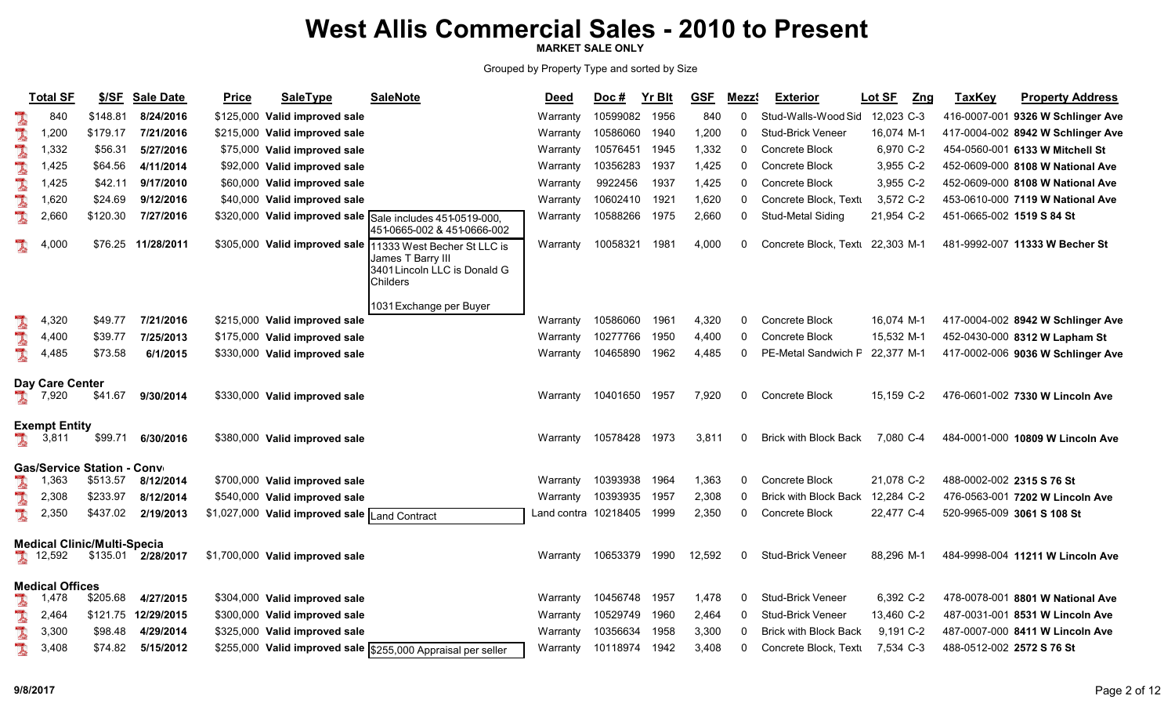MARKET SALE ONLY

|   | <b>Total SF</b>        | \$/SF                              | <b>Sale Date</b>    | <b>Price</b> | <b>SaleType</b>                               | <b>SaleNote</b>                                                                                                            | <b>Deed</b>          | $Doc$ #  | Yr Blt | <b>GSF</b> | Mezz <sup>(</sup> | <b>Exterior</b>              | Lot SF     | $Z$ ng | <b>TaxKey</b>             | <b>Property Address</b>           |
|---|------------------------|------------------------------------|---------------------|--------------|-----------------------------------------------|----------------------------------------------------------------------------------------------------------------------------|----------------------|----------|--------|------------|-------------------|------------------------------|------------|--------|---------------------------|-----------------------------------|
| L | 840                    | \$148.81                           | 8/24/2016           |              | \$125,000 Valid improved sale                 |                                                                                                                            | Warranty             | 10599082 | 1956   | 840        | $\mathbf{0}$      | Stud-Walls-Wood Sid          | 12,023 C-3 |        |                           | 416-0007-001 9326 W Schlinger Ave |
| L | 1,200                  | \$179.17                           | 7/21/2016           |              | \$215,000 Valid improved sale                 |                                                                                                                            | Warranty             | 10586060 | 1940   | 1,200      | 0                 | Stud-Brick Veneer            | 16,074 M-1 |        |                           | 417-0004-002 8942 W Schlinger Ave |
| 1 | 1,332                  | \$56.31                            | 5/27/2016           |              | \$75,000 Valid improved sale                  |                                                                                                                            | Warranty             | 10576451 | 1945   | 1,332      | 0                 | Concrete Block               | 6,970 C-2  |        |                           | 454-0560-001 6133 W Mitchell St   |
| 1 | 1,425                  | \$64.56                            | 4/11/2014           |              | \$92,000 Valid improved sale                  |                                                                                                                            | Warranty             | 10356283 | 1937   | 1,425      | 0                 | Concrete Block               | 3,955 C-2  |        |                           | 452-0609-000 8108 W National Ave  |
| L | 1,425                  | \$42.11                            | 9/17/2010           |              | \$60,000 Valid improved sale                  |                                                                                                                            | Warranty             | 9922456  | 1937   | 1,425      | 0                 | Concrete Block               | 3,955 C-2  |        |                           | 452-0609-000 8108 W National Ave  |
| I | 1,620                  | \$24.69                            | 9/12/2016           |              | \$40,000 Valid improved sale                  |                                                                                                                            | Warranty             | 10602410 | 1921   | 1,620      | 0                 | Concrete Block, Textu        | 3,572 C-2  |        |                           | 453-0610-000 7119 W National Ave  |
| L | 2,660                  | \$120.30                           | 7/27/2016           |              |                                               | \$320,000 Valid improved sale Sale includes 451-0519-000,<br>451-0665-002 & 451-0666-002                                   | Warranty             | 10588266 | 1975   | 2,660      | 0                 | Stud-Metal Siding            | 21,954 C-2 |        | 451-0665-002 1519 S 84 St |                                   |
|   | 4,000                  | \$76.25                            | 11/28/2011          |              |                                               | \$305,000 Valid improved sale 11333 West Becher St LLC is<br>James T Barry III<br>3401 Lincoln LLC is Donald G<br>Childers | Warranty             | 10058321 | 1981   | 4,000      | 0                 | Concrete Block, Textu        | 22,303 M-1 |        |                           | 481-9992-007 11333 W Becher St    |
|   |                        |                                    |                     |              |                                               | 1031 Exchange per Buyer                                                                                                    |                      |          |        |            |                   |                              |            |        |                           |                                   |
| L | 4,320                  | \$49.77                            | 7/21/2016           |              | \$215,000 Valid improved sale                 |                                                                                                                            | Warrantv             | 10586060 | 1961   | 4,320      | $\Omega$          | Concrete Block               | 16,074 M-1 |        |                           | 417-0004-002 8942 W Schlinger Ave |
| L | 4,400                  | \$39.77                            | 7/25/2013           |              | \$175,000 Valid improved sale                 |                                                                                                                            | Warranty             | 10277766 | 1950   | 4,400      | $\mathbf{0}$      | Concrete Block               | 15,532 M-1 |        |                           | 452-0430-000 8312 W Lapham St     |
| L | 4,485                  | \$73.58                            | 6/1/2015            |              | \$330,000 Valid improved sale                 |                                                                                                                            | Warranty             | 10465890 | 1962   | 4,485      | $\Omega$          | PE-Metal Sandwich F          | 22,377 M-1 |        |                           | 417-0002-006 9036 W Schlinger Ave |
|   | Day Care Center        |                                    |                     |              |                                               |                                                                                                                            |                      |          |        |            |                   |                              |            |        |                           |                                   |
|   | 7,920                  | \$41.67                            | 9/30/2014           |              | \$330,000 Valid improved sale                 |                                                                                                                            | Warranty             | 10401650 | 1957   | 7,920      | 0                 | Concrete Block               | 15,159 C-2 |        |                           | 476-0601-002 7330 W Lincoln Ave   |
|   | <b>Exempt Entity</b>   |                                    |                     |              |                                               |                                                                                                                            |                      |          |        |            |                   |                              |            |        |                           |                                   |
|   | 3,811                  | \$99.71                            | 6/30/2016           |              | \$380,000 Valid improved sale                 |                                                                                                                            | Warranty             | 10578428 | 1973   | 3,811      | $\Omega$          | <b>Brick with Block Back</b> | 7,080 C-4  |        |                           | 484-0001-000 10809 W Lincoln Ave  |
|   |                        | <b>Gas/Service Station - Conv</b>  |                     |              |                                               |                                                                                                                            |                      |          |        |            |                   |                              |            |        |                           |                                   |
| 1 | 1,363                  | \$513.57                           | 8/12/2014           |              | \$700,000 Valid improved sale                 |                                                                                                                            | Warranty             | 10393938 | 1964   | 1,363      | $\mathbf{0}$      | Concrete Block               | 21.078 C-2 |        | 488-0002-002 2315 S 76 St |                                   |
|   | 2,308                  | \$233.97                           | 8/12/2014           |              | \$540,000 Valid improved sale                 |                                                                                                                            | Warranty             | 10393935 | 1957   | 2,308      | $\Omega$          | <b>Brick with Block Back</b> | 12,284 C-2 |        |                           | 476-0563-001 7202 W Lincoln Ave   |
| L | 2,350                  | \$437.02                           | 2/19/2013           |              | \$1,027,000 Valid improved sale Land Contract |                                                                                                                            | Land contra 10218405 |          | 1999   | 2,350      | 0                 | Concrete Block               | 22,477 C-4 |        |                           | 520-9965-009 3061 S 108 St        |
|   |                        | <b>Medical Clinic/Multi-Specia</b> |                     |              |                                               |                                                                                                                            |                      |          |        |            |                   |                              |            |        |                           |                                   |
|   | 12,592                 | \$135.01                           | 2/28/2017           |              | \$1,700,000 Valid improved sale               |                                                                                                                            | Warranty             | 10653379 | 1990   | 12,592     | 0                 | <b>Stud-Brick Veneer</b>     | 88,296 M-1 |        |                           | 484-9998-004 11211 W Lincoln Ave  |
|   | <b>Medical Offices</b> |                                    |                     |              |                                               |                                                                                                                            |                      |          |        |            |                   |                              |            |        |                           |                                   |
|   | 1,478                  | \$205.68                           | 4/27/2015           |              | \$304,000 Valid improved sale                 |                                                                                                                            | Warranty             | 10456748 | 1957   | 1,478      | 0                 | <b>Stud-Brick Veneer</b>     | 6,392 C-2  |        |                           | 478-0078-001 8801 W National Ave  |
|   | 2,464                  |                                    | \$121.75 12/29/2015 |              | \$300,000 Valid improved sale                 |                                                                                                                            | Warranty             | 10529749 | 1960   | 2,464      | 0                 | <b>Stud-Brick Veneer</b>     | 13,460 C-2 |        |                           | 487-0031-001 8531 W Lincoln Ave   |
| I | 3,300                  | \$98.48                            | 4/29/2014           |              | \$325,000 Valid improved sale                 |                                                                                                                            | Warranty             | 10356634 | 1958   | 3,300      | $\Omega$          | <b>Brick with Block Back</b> | 9,191 C-2  |        |                           | 487-0007-000 8411 W Lincoln Ave   |
| L | 3,408                  | \$74.82                            | 5/15/2012           |              |                                               | \$255,000 Valid improved sale \$255,000 Appraisal per seller                                                               | Warranty             | 10118974 | 1942   | 3,408      | $\Omega$          | Concrete Block, Textu        | 7,534 C-3  |        | 488-0512-002 2572 S 76 St |                                   |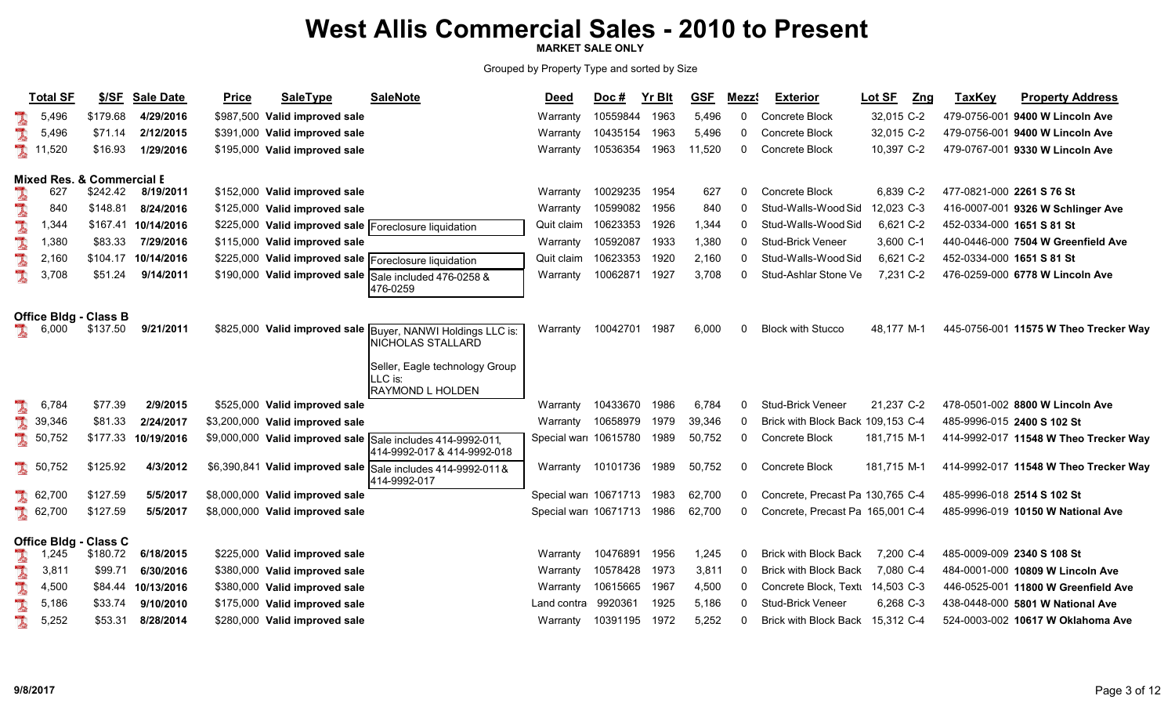MARKET SALE ONLY

|    | <b>Total SF</b>      | \$/SE                                | <b>Sale Date</b> | <b>Price</b> | <b>SaleType</b>                 | <b>SaleNote</b>                                               | <b>Deed</b>               | Doc #    | Yr Blt | <b>GSF</b> | Mezz <sup>®</sup> | <b>Exterior</b>                   | Lot SF<br>Z <sub>ng</sub> | <b>TaxKey</b>             | <b>Property Address</b>               |
|----|----------------------|--------------------------------------|------------------|--------------|---------------------------------|---------------------------------------------------------------|---------------------------|----------|--------|------------|-------------------|-----------------------------------|---------------------------|---------------------------|---------------------------------------|
|    | 5,496                | \$179.68                             | 4/29/2016        |              | \$987,500 Valid improved sale   |                                                               | Warrantv                  | 10559844 | 1963   | 5,496      | $\mathbf{0}$      | <b>Concrete Block</b>             | 32,015 C-2                |                           | 479-0756-001 9400 W Lincoln Ave       |
| l  | 5,496                | \$71.14                              | 2/12/2015        | \$391,000    | Valid improved sale             |                                                               | Warranty                  | 10435154 | 1963   | 5,496      | $\Omega$          | Concrete Block                    | 32,015 C-2                |                           | 479-0756-001 9400 W Lincoln Ave       |
|    | 11,520               | \$16.93                              | 1/29/2016        | \$195,000    | Valid improved sale             |                                                               | Warranty                  | 10536354 | 1963   | 11,520     | 0                 | Concrete Block                    | 10,397 C-2                |                           | 479-0767-001 9330 W Lincoln Ave       |
|    |                      | <b>Mixed Res. &amp; Commercial E</b> |                  |              |                                 |                                                               |                           |          |        |            |                   |                                   |                           |                           |                                       |
| l  | 627                  | \$242.42                             | 8/19/2011        |              | \$152,000 Valid improved sale   |                                                               | Warranty                  | 10029235 | 1954   | 627        | 0                 | Concrete Block                    | 6.839 C-2                 | 477-0821-000 2261 S 76 St |                                       |
| L  | 840                  | \$148.81                             | 8/24/2016        |              | \$125,000 Valid improved sale   |                                                               | Warranty                  | 10599082 | 1956   | 840        | 0                 | Stud-Walls-Wood Sid               | 12,023 C-3                |                           | 416-0007-001 9326 W Schlinger Ave     |
|    | 1,344                | \$167.41                             | 10/14/2016       | \$225,000    |                                 | Valid improved sale Foreclosure liquidation                   | Quit claim                | 10623353 | 1926   | 1,344      | $\Omega$          | Stud-Walls-Wood Sid               | 6,621 C-2                 | 452-0334-000 1651 S 81 St |                                       |
| L  | 1,380                | \$83.33                              | 7/29/2016        | \$115,000    | Valid improved sale             |                                                               | Warranty                  | 10592087 | 1933   | 1,380      | $\Omega$          | <b>Stud-Brick Veneer</b>          | 3,600 C-1                 |                           | 440-0446-000 7504 W Greenfield Ave    |
| L  | 2,160                | \$104.17                             | 10/14/2016       | \$225,000    |                                 | Valid improved sale   Foreclosure liquidation                 | Quit claim                | 10623353 | 1920   | 2,160      | $\mathbf{0}$      | Stud-Walls-Wood Sid               | 6,621 C-2                 | 452-0334-000 1651 S 81 St |                                       |
| l  | 3,708                | \$51.24                              | 9/14/2011        | \$190,000    |                                 | Valid improved sale Sale included 476-0258 &<br>476-0259      | Warranty                  | 10062871 | 1927   | 3,708      | $\Omega$          | Stud-Ashlar Stone Ve              | 7,231 C-2                 |                           | 476-0259-000 6778 W Lincoln Ave       |
|    |                      | <b>Office Bldg - Class B</b>         |                  |              |                                 |                                                               |                           |          |        |            |                   |                                   |                           |                           |                                       |
| L  | 6,000                | \$137.50                             | 9/21/2011        |              | \$825,000 Valid improved sale   | Buyer, NANWI Holdings LLC is:<br>NICHOLAS STALLARD            | Warranty                  | 10042701 | 1987   | 6,000      | $\Omega$          | <b>Block with Stucco</b>          | 48,177 M-1                |                           | 445-0756-001 11575 W Theo Trecker Way |
|    |                      |                                      |                  |              |                                 | Seller, Eagle technology Group<br>LLC is:<br>RAYMOND L HOLDEN |                           |          |        |            |                   |                                   |                           |                           |                                       |
|    | 6,784                | \$77.39                              | 2/9/2015         |              | \$525,000 Valid improved sale   |                                                               | Warranty                  | 10433670 | 1986   | 6,784      | $\Omega$          | <b>Stud-Brick Veneer</b>          | 21,237 C-2                |                           | 478-0501-002 8800 W Lincoln Ave       |
| J. | 39,346               | \$81.33                              | 2/24/2017        |              | \$3,200,000 Valid improved sale |                                                               | Warranty                  | 10658979 | 1979   | 39,346     | $\Omega$          | Brick with Block Back 109,153 C-4 |                           |                           | 485-9996-015 2400 S 102 St            |
| I  | 50,752               | \$177.33                             | 10/19/2016       |              | \$9,000,000 Valid improved sale | Sale includes 414-9992-011,<br>414-9992-017 & 414-9992-018    | Special war 10615780      |          | 1989   | 50,752     | 0                 | <b>Concrete Block</b>             | 181,715 M-1               |                           | 414-9992-017 11548 W Theo Trecker Way |
|    | \$50,752             | \$125.92                             | 4/3/2012         |              | \$6,390,841 Valid improved sale | Sale includes 414-9992-011&<br>414-9992-017                   | Warranty                  | 10101736 | 1989   | 50,752     | 0                 | Concrete Block                    | 181,715 M-1               |                           | 414-9992-017 11548 W Theo Trecker Way |
|    | $\frac{1}{2}$ 62,700 | \$127.59                             | 5/5/2017         |              | \$8,000,000 Valid improved sale |                                                               | Special war 10671713      |          | 1983   | 62,700     | 0                 | Concrete, Precast Pa 130,765 C-4  |                           |                           | 485-9996-018 2514 S 102 St            |
|    | $\frac{1}{2}$ 62,700 | \$127.59                             | 5/5/2017         |              | \$8,000,000 Valid improved sale |                                                               | Special war 10671713 1986 |          |        | 62,700     | $\mathbf{0}$      | Concrete, Precast Pa 165,001 C-4  |                           |                           | 485-9996-019 10150 W National Ave     |
|    |                      | Office Bldg - Class C                |                  |              |                                 |                                                               |                           |          |        |            |                   |                                   |                           |                           |                                       |
|    | 1,245                | \$180.72                             | 6/18/2015        | \$225,000    | Valid improved sale             |                                                               | Warranty                  | 10476891 | 1956   | 1,245      | $\Omega$          | <b>Brick with Block Back</b>      | 7,200 C-4                 |                           | 485-0009-009 2340 S 108 St            |
| I  | 3,811                | \$99.71                              | 6/30/2016        | \$380,000    | Valid improved sale             |                                                               | Warranty                  | 10578428 | 1973   | 3,811      | 0                 | <b>Brick with Block Back</b>      | 7,080 C-4                 |                           | 484-0001-000 10809 W Lincoln Ave      |
|    | 4,500                | \$84.44                              | 10/13/2016       | \$380,000    | Valid improved sale             |                                                               | Warranty                  | 10615665 | 1967   | 4,500      | 0                 | Concrete Block, Textu             | 14,503 C-3                |                           | 446-0525-001 11800 W Greenfield Ave   |
|    | 5,186                | \$33.74                              | 9/10/2010        | \$175,000    | Valid improved sale             |                                                               | Land contra               | 9920361  | 1925   | 5,186      | $\Omega$          | <b>Stud-Brick Veneer</b>          | 6,268 C-3                 |                           | 438-0448-000 5801 W National Ave      |
| L  | 5,252                | \$53.31                              | 8/28/2014        |              | \$280,000 Valid improved sale   |                                                               | Warranty                  | 10391195 | 1972   | 5,252      | $\Omega$          | <b>Brick with Block Back</b>      | 15,312 C-4                |                           | 524-0003-002 10617 W Oklahoma Ave     |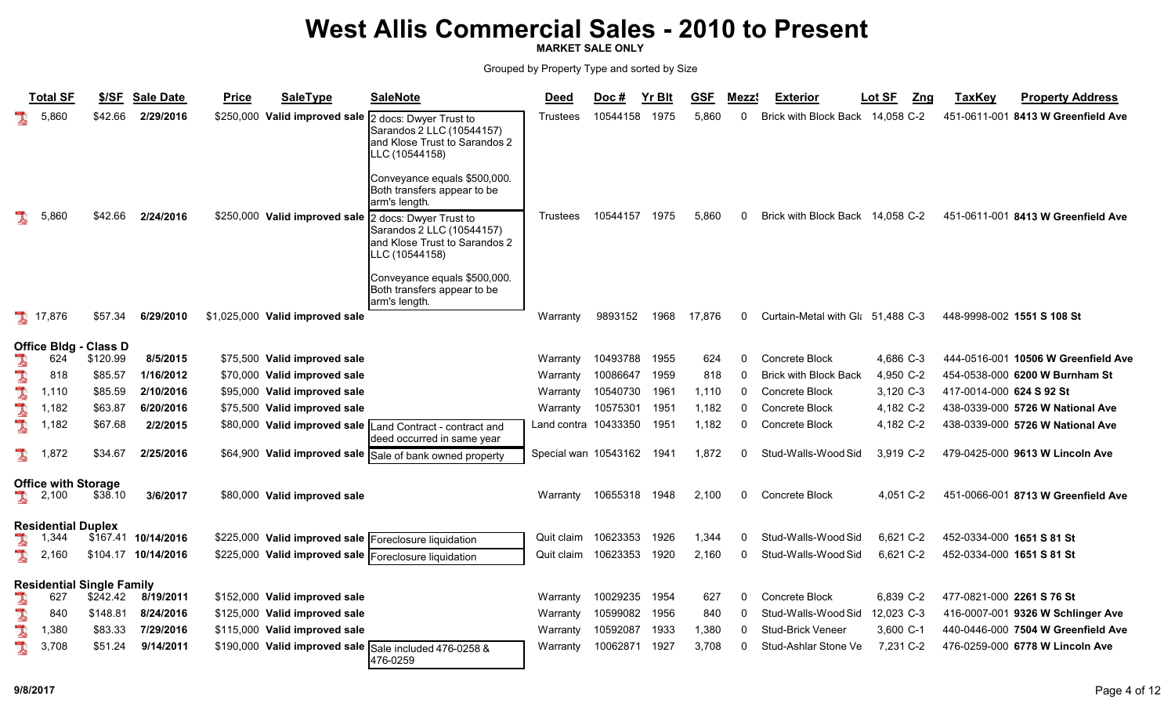MARKET SALE ONLY

|    | <b>Total SF</b>            | \$/SE                            | <b>Sale Date</b>    | <b>Price</b> | <b>SaleType</b>                 | <b>SaleNote</b>                                                                                        | <b>Deed</b>          | Doc#     | <b>Yr Blt</b> | <b>GSF</b> | <b>Mezz</b> | <b>Exterior</b>                  | Lot SF<br>Zng | <b>TaxKey</b>             | <b>Property Address</b>             |
|----|----------------------------|----------------------------------|---------------------|--------------|---------------------------------|--------------------------------------------------------------------------------------------------------|----------------------|----------|---------------|------------|-------------|----------------------------------|---------------|---------------------------|-------------------------------------|
|    | 5,860                      | \$42.66                          | 2/29/2016           |              | \$250,000 Valid improved sale   | 2 docs: Dwyer Trust to<br>Sarandos 2 LLC (10544157)<br>and Klose Trust to Sarandos 2<br>LLC (10544158) | Trustees             | 10544158 | 1975          | 5,860      | $\Omega$    | Brick with Block Back 14,058 C-2 |               |                           | 451-0611-001 8413 W Greenfield Ave  |
|    |                            |                                  |                     |              |                                 | Conveyance equals \$500,000.<br>Both transfers appear to be<br>arm's length.                           |                      |          |               |            |             |                                  |               |                           |                                     |
| l  | 5,860                      | \$42.66                          | 2/24/2016           |              | \$250,000 Valid improved sale   | 2 docs: Dwyer Trust to<br>Sarandos 2 LLC (10544157)<br>and Klose Trust to Sarandos 2<br>LLC (10544158) | Trustees             | 10544157 | 1975          | 5,860      | $\Omega$    | <b>Brick with Block Back</b>     | 14,058 C-2    |                           | 451-0611-001 8413 W Greenfield Ave  |
|    |                            |                                  |                     |              |                                 | Conveyance equals \$500,000.<br>Both transfers appear to be<br>arm's length.                           |                      |          |               |            |             |                                  |               |                           |                                     |
|    | 17,876                     | \$57.34                          | 6/29/2010           |              | \$1,025,000 Valid improved sale |                                                                                                        | Warranty             | 9893152  | 1968          | 17,876     | 0           | Curtain-Metal with Gl 51,488 C-3 |               |                           | 448-9998-002 1551 S 108 St          |
|    | <b>Office Bldg</b>         | <b>Class D</b>                   |                     |              |                                 |                                                                                                        |                      |          |               |            |             |                                  |               |                           |                                     |
| 1  | 624                        | \$120.99                         | 8/5/2015            |              | \$75,500 Valid improved sale    |                                                                                                        | Warranty             | 10493788 | 1955          | 624        | $\Omega$    | Concrete Block                   | 4,686 C-3     |                           | 444-0516-001 10506 W Greenfield Ave |
| L  | 818                        | \$85.57                          | 1/16/2012           |              | \$70,000 Valid improved sale    |                                                                                                        | Warranty             | 10086647 | 1959          | 818        | $\Omega$    | <b>Brick with Block Back</b>     | 4,950 C-2     |                           | 454-0538-000 6200 W Burnham St      |
| L  | 1,110                      | \$85.59                          | 2/10/2016           |              | \$95,000 Valid improved sale    |                                                                                                        | Warranty             | 10540730 | 1961          | 1,110      | $\Omega$    | <b>Concrete Block</b>            | 3,120 C-3     | 417-0014-000 624 S 92 St  |                                     |
| L  | 1,182                      | \$63.87                          | 6/20/2016           |              | \$75,500 Valid improved sale    |                                                                                                        | Warranty             | 10575301 | 1951          | 1,182      | 0           | Concrete Block                   | 4,182 C-2     |                           | 438-0339-000 5726 W National Ave    |
|    | 1,182                      | \$67.68                          | 2/2/2015            |              | \$80,000 Valid improved sale    | Land Contract - contract and<br>deed occurred in same vear                                             | Land contra 10433350 |          | 1951          | 1,182      | 0           | Concrete Block                   | 4,182 C-2     |                           | 438-0339-000 5726 W National Ave    |
| L  | 1,872                      | \$34.67                          | 2/25/2016           |              |                                 | \$64,900 Valid improved sale Sale of bank owned property                                               | Special war 10543162 |          | 1941          | 1,872      | $\Omega$    | Stud-Walls-Wood Sid              | 3,919 C-2     |                           | 479-0425-000 9613 W Lincoln Ave     |
|    | <b>Office with Storage</b> |                                  |                     |              |                                 |                                                                                                        |                      |          |               |            |             |                                  |               |                           |                                     |
|    | 2,100                      | \$38.10                          | 3/6/2017            |              | \$80,000 Valid improved sale    |                                                                                                        | Warranty             | 10655318 | 1948          | 2,100      | $\Omega$    | Concrete Block                   | 4,051 C-2     |                           | 451-0066-001 8713 W Greenfield Ave  |
|    | Residential Duplex         |                                  |                     |              |                                 |                                                                                                        |                      |          |               |            |             |                                  |               |                           |                                     |
| J. | 1,344                      |                                  | \$167.41 10/14/2016 |              | \$225,000 Valid improved sale   | Foreclosure liquidation                                                                                | Quit claim           | 10623353 | 1926          | 1,344      | $\Omega$    | Stud-Walls-Wood Sid              | 6,621 C-2     | 452-0334-000 1651 S 81 St |                                     |
| l  | 2,160                      |                                  | \$104.17 10/14/2016 |              |                                 | \$225,000 Valid improved sale Foreclosure liquidation                                                  | Quit claim           | 10623353 | 1920          | 2,160      | $\Omega$    | Stud-Walls-Wood Sid              | 6.621 C-2     | 452-0334-000 1651 S 81 St |                                     |
|    |                            | <b>Residential Single Family</b> |                     |              |                                 |                                                                                                        |                      |          |               |            |             |                                  |               |                           |                                     |
| 1  | 627                        | \$242.42                         | 8/19/2011           |              | \$152,000 Valid improved sale   |                                                                                                        | Warranty             | 10029235 | 1954          | 627        | 0           | Concrete Block                   | 6,839 C-2     | 477-0821-000 2261 S 76 St |                                     |
| L  | 840                        | \$148.81                         | 8/24/2016           |              | \$125,000 Valid improved sale   |                                                                                                        | Warranty             | 10599082 | 1956          | 840        | $\Omega$    | Stud-Walls-Wood Sid              | 12,023 C-3    |                           | 416-0007-001 9326 W Schlinger Ave   |
| L  | 1,380                      | \$83.33                          | 7/29/2016           |              | \$115,000 Valid improved sale   |                                                                                                        | Warranty             | 10592087 | 1933          | 1,380      | $\Omega$    | Stud-Brick Veneer                | 3,600 C-1     |                           | 440-0446-000 7504 W Greenfield Ave  |
| l  | 3,708                      | \$51.24                          | 9/14/2011           |              |                                 | \$190,000 Valid improved sale Sale included 476-0258 &<br>476-0259                                     | Warranty             | 10062871 | 1927          | 3,708      | $\Omega$    | Stud-Ashlar Stone Ve             | 7,231 C-2     |                           | 476-0259-000 6778 W Lincoln Ave     |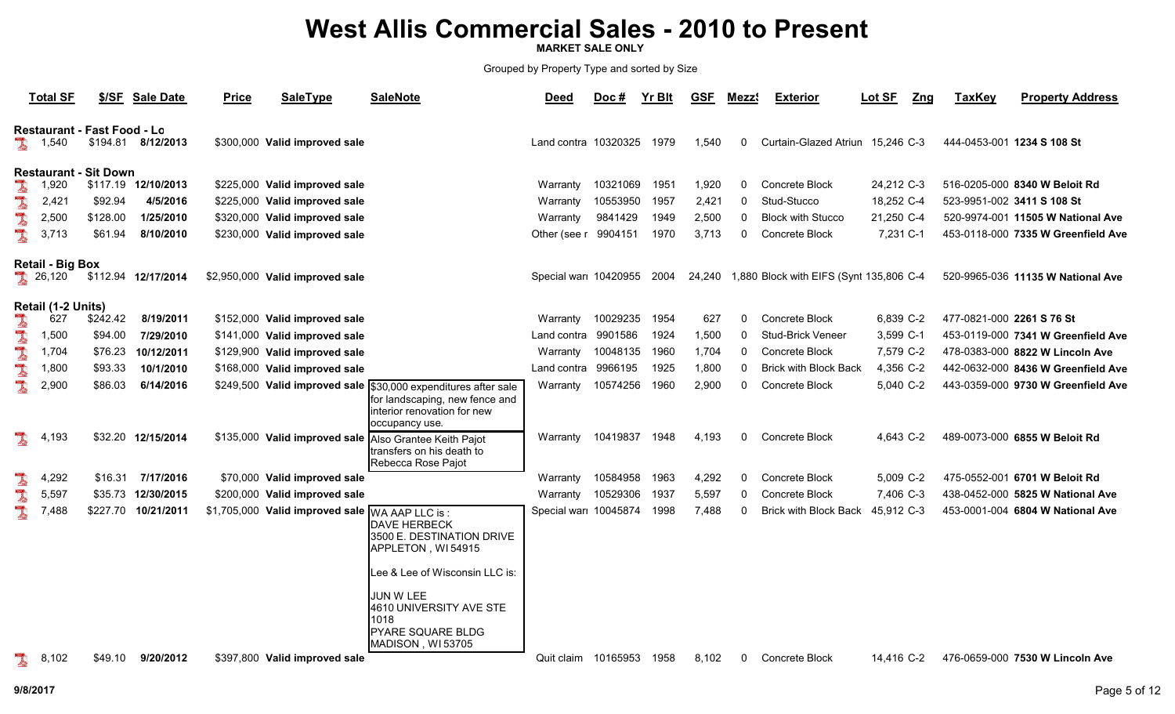MARKET SALE ONLY

|                  | <b>Total SF</b>                                               |                                                                | \$/SF Sale Date                                                | <b>Price</b> | <b>SaleType</b>                                                                                                                  | <b>SaleNote</b>                                                                                                                                                                                         | <b>Deed</b>                                                    | $Doc$ #                                                | Yr Blt                               | <b>GSF</b>                              | Mezz <sup>®</sup>                  | <b>Exterior</b>                                                                                                       | Lot SF                                                        | Zng | <b>TaxKey</b>             | <b>Property Address</b>                                                                                                                           |
|------------------|---------------------------------------------------------------|----------------------------------------------------------------|----------------------------------------------------------------|--------------|----------------------------------------------------------------------------------------------------------------------------------|---------------------------------------------------------------------------------------------------------------------------------------------------------------------------------------------------------|----------------------------------------------------------------|--------------------------------------------------------|--------------------------------------|-----------------------------------------|------------------------------------|-----------------------------------------------------------------------------------------------------------------------|---------------------------------------------------------------|-----|---------------------------|---------------------------------------------------------------------------------------------------------------------------------------------------|
| <b>A</b>         | 1,540                                                         | <b>Restaurant - Fast Food - Lo</b><br>\$194.81                 | 8/12/2013                                                      |              | \$300,000 Valid improved sale                                                                                                    |                                                                                                                                                                                                         | Land contra 10320325                                           |                                                        | 1979                                 | 1,540                                   | 0                                  | Curtain-Glazed Atriun 15,246 C-3                                                                                      |                                                               |     |                           | 444-0453-001 1234 S 108 St                                                                                                                        |
| I<br>L<br>L<br>L | 1,920<br>2,421<br>2,500<br>3,713                              | <b>Restaurant - Sit Down</b><br>\$92.94<br>\$128.00<br>\$61.94 | \$117.19 12/10/2013<br>4/5/2016<br>1/25/2010<br>8/10/2010      |              | \$225,000 Valid improved sale<br>\$225,000 Valid improved sale<br>\$320,000 Valid improved sale<br>\$230,000 Valid improved sale |                                                                                                                                                                                                         | Warranty<br>Warranty<br>Warranty<br>Other (see r               | 10321069<br>10553950<br>9841429<br>9904151             | 1951<br>1957<br>1949<br>1970         | 1,920<br>2,421<br>2,500<br>3,713        | 0<br>$\mathbf{0}$<br>0<br>$\Omega$ | Concrete Block<br>Stud-Stucco<br><b>Block with Stucco</b><br>Concrete Block                                           | 24,212 C-3<br>18,252 C-4<br>21,250 C-4<br>7,231 C-1           |     |                           | 516-0205-000 8340 W Beloit Rd<br>523-9951-002 3411 S 108 St<br>520-9974-001 11505 W National Ave<br>453-0118-000 7335 W Greenfield Ave            |
|                  | <b>Retail - Big Box</b><br>26,120                             |                                                                | \$112.94 12/17/2014                                            |              | \$2,950,000 Valid improved sale                                                                                                  |                                                                                                                                                                                                         | Special war 10420955                                           |                                                        | 2004                                 | 24,240                                  |                                    | 1,880 Block with EIFS (Synt 135,806 C-4                                                                               |                                                               |     |                           | 520-9965-036 11135 W National Ave                                                                                                                 |
| 1<br>A<br>L<br>I | Retail (1-2 Units)<br>627<br>1,500<br>1.704<br>1,800<br>2,900 | \$242.42<br>\$94.00<br>\$76.23<br>\$93.33<br>\$86.03           | 8/19/2011<br>7/29/2010<br>10/12/2011<br>10/1/2010<br>6/14/2016 |              | \$152,000 Valid improved sale<br>\$141,000 Valid improved sale<br>\$129,900 Valid improved sale<br>\$168,000 Valid improved sale | \$249,500 Valid improved sale \$30,000 expenditures after sale<br>for landscaping, new fence and<br>interior renovation for new<br>occupancy use.                                                       | Warranty<br>Land contra<br>Warranty<br>Land contra<br>Warranty | 10029235<br>9901586<br>10048135<br>9966195<br>10574256 | 1954<br>1924<br>1960<br>1925<br>1960 | 627<br>1,500<br>1,704<br>1,800<br>2,900 | 0<br>0<br>$\Omega$<br>0            | Concrete Block<br><b>Stud-Brick Veneer</b><br><b>Concrete Block</b><br><b>Brick with Block Back</b><br>Concrete Block | 6,839 C-2<br>3,599 C-1<br>7,579 C-2<br>4,356 C-2<br>5,040 C-2 |     | 477-0821-000 2261 S 76 St | 453-0119-000 7341 W Greenfield Ave<br>478-0383-000 8822 W Lincoln Ave<br>442-0632-000 8436 W Greenfield Ave<br>443-0359-000 9730 W Greenfield Ave |
| L                | 4,193                                                         |                                                                | \$32.20 12/15/2014                                             |              |                                                                                                                                  | \$135,000 Valid improved sale Also Grantee Keith Pajot<br>transfers on his death to<br>Rebecca Rose Pajot                                                                                               | Warranty                                                       | 10419837                                               | 1948                                 | 4,193                                   | $\Omega$                           | Concrete Block                                                                                                        | 4,643 C-2                                                     |     |                           | 489-0073-000 6855 W Beloit Rd                                                                                                                     |
| l<br>L<br>I      | ,292<br>4<br>5,597<br>7,488                                   | \$16.31<br>\$35.73<br>\$227.70                                 | 7/17/2016<br>12/30/2015<br>10/21/2011                          |              | \$70,000 Valid improved sale<br>\$200,000 Valid improved sale<br>\$1,705,000 Valid improved sale WA AAP LLC is :                 | <b>DAVE HERBECK</b><br>3500 E. DESTINATION DRIVE<br>APPLETON, WI54915<br>Lee & Lee of Wisconsin LLC is:<br>JUN W LEE<br>4610 UNIVERSITY AVE STE<br>1018<br><b>PYARE SQUARE BLDG</b><br>MADISON, WI53705 | Warranty<br>Warranty<br>Special war 10045874                   | 10584958<br>10529306                                   | 1963<br>1937<br>1998                 | 4,292<br>5,597<br>7,488                 | 0                                  | <b>Concrete Block</b><br>Concrete Block<br><b>Brick with Block Back</b>                                               | 5,009 C-2<br>7,406 C-3<br>45,912 C-3                          |     |                           | 475-0552-001 6701 W Beloit Rd<br>438-0452-000 5825 W National Ave<br>453-0001-004 6804 W National Ave                                             |
|                  | 8,102                                                         | \$49.10                                                        | 9/20/2012                                                      |              | \$397,800 Valid improved sale                                                                                                    |                                                                                                                                                                                                         | Quit claim 10165953                                            |                                                        | 1958                                 | 8,102                                   | 0                                  | Concrete Block                                                                                                        | 14,416 C-2                                                    |     |                           | 476-0659-000 7530 W Lincoln Ave                                                                                                                   |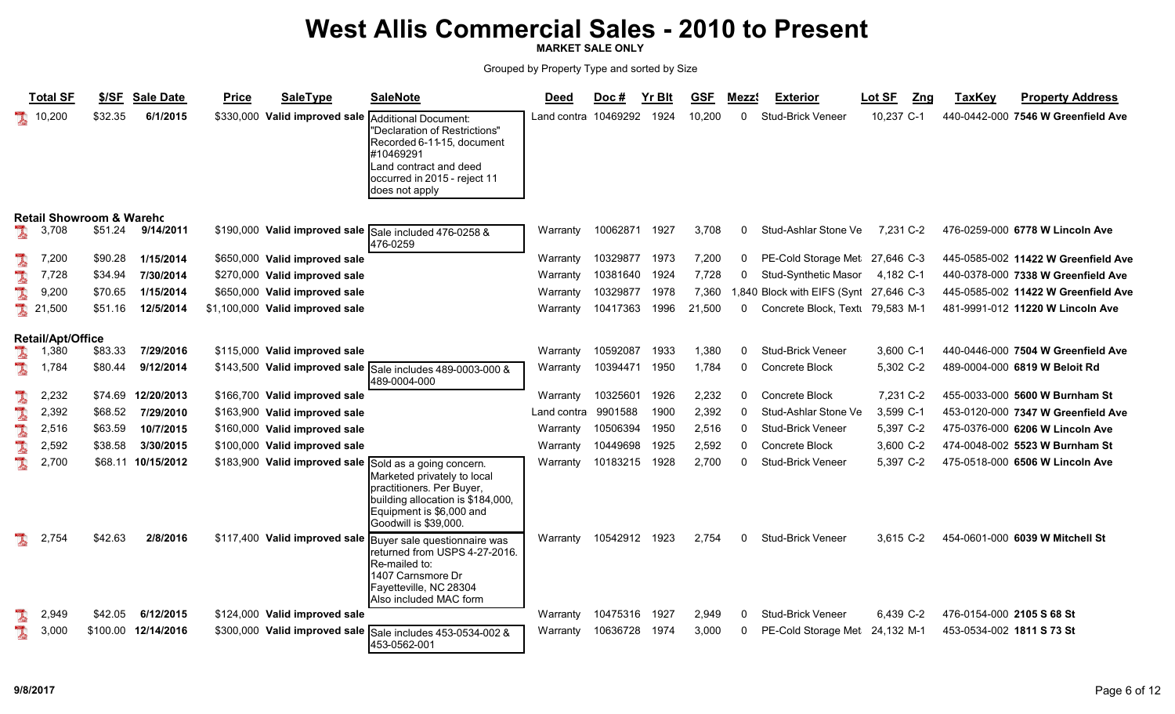MARKET SALE ONLY

|   | <b>Total SF</b>                     | \$/SF    | <b>Sale Date</b>   | <b>Price</b> | <b>SaleType</b>                 | <b>SaleNote</b>                                                                                                                                                                | <b>Deed</b>          | Doc#     | <b>Yr Blt</b> | <b>GSF</b> | Mezz9        | <b>Exterior</b>                 | Lot SF<br>Zng | <b>TaxKey</b>             | <b>Property Address</b>             |
|---|-------------------------------------|----------|--------------------|--------------|---------------------------------|--------------------------------------------------------------------------------------------------------------------------------------------------------------------------------|----------------------|----------|---------------|------------|--------------|---------------------------------|---------------|---------------------------|-------------------------------------|
|   | 10,200                              | \$32.35  | 6/1/2015           | \$330,000    | Valid improved sale             | Additional Document:<br>"Declaration of Restrictions"<br>Recorded 6-11-15, document<br>#10469291<br>Land contract and deed<br>occurred in 2015 - reject 11<br>does not apply   | Land contra 10469292 |          | 1924          | 10.200     | 0            | Stud-Brick Veneer               | 10.237 C-1    |                           | 440-0442-000 7546 W Greenfield Ave  |
|   | <b>Retail Showroom &amp; Wareho</b> |          |                    |              |                                 |                                                                                                                                                                                |                      |          |               |            |              |                                 |               |                           |                                     |
|   | 3,708                               | \$51.24  | 9/14/2011          |              |                                 | \$190,000 Valid improved sale Sale included 476-0258 &<br>476-0259                                                                                                             | Warranty             | 10062871 | 1927          | 3,708      | 0            | Stud-Ashlar Stone Ve            | 7,231 C-2     |                           | 476-0259-000 6778 W Lincoln Ave     |
|   | 7,200                               | \$90.28  | 1/15/2014          |              | \$650,000 Valid improved sale   |                                                                                                                                                                                | Warranty             | 10329877 | 1973          | 7,200      | 0            | PE-Cold Storage Met 27,646 C-3  |               |                           | 445-0585-002 11422 W Greenfield Ave |
|   | 7,728                               | \$34.94  | 7/30/2014          |              | \$270,000 Valid improved sale   |                                                                                                                                                                                | Warranty             | 10381640 | 1924          | 7,728      | 0            | Stud-Synthetic Masor            | 4,182 C-1     |                           | 440-0378-000 7338 W Greenfield Ave  |
|   | 9,200                               | \$70.65  | 1/15/2014          |              | \$650,000 Valid improved sale   |                                                                                                                                                                                | Warranty             | 10329877 | 1978          | 7,360      |              | 1,840 Block with EIFS (Synt     | 27.646 C-3    |                           | 445-0585-002 11422 W Greenfield Ave |
|   | 21,500                              | \$51.16  | 12/5/2014          |              | \$1,100,000 Valid improved sale |                                                                                                                                                                                | Warranty             | 10417363 | 1996          | 21,500     | $\Omega$     | Concrete Block, Text 79,583 M-1 |               |                           | 481-9991-012 11220 W Lincoln Ave    |
|   | <b>Retail/Apt/Office</b>            |          |                    |              |                                 |                                                                                                                                                                                |                      |          |               |            |              |                                 |               |                           |                                     |
|   | 1,380                               | \$83.33  | 7/29/2016          |              | \$115,000 Valid improved sale   |                                                                                                                                                                                | Warranty             | 10592087 | 1933          | 1,380      | $\mathbf{0}$ | <b>Stud-Brick Veneer</b>        | 3,600 C-1     |                           | 440-0446-000 7504 W Greenfield Ave  |
| 1 | 1,784                               | \$80.44  | 9/12/2014          |              |                                 | \$143,500 Valid improved sale Sale includes 489-0003-000 &<br>489-0004-000                                                                                                     | Warranty             | 10394471 | 1950          | 1,784      | $\mathbf{0}$ | Concrete Block                  | 5,302 C-2     |                           | 489-0004-000 6819 W Beloit Rd       |
| l | 2,232                               | \$74.69  | 12/20/2013         |              | \$166,700 Valid improved sale   |                                                                                                                                                                                | Warranty             | 10325601 | 1926          | 2,232      | $\mathbf{0}$ | Concrete Block                  | 7,231 C-2     |                           | 455-0033-000 5600 W Burnham St      |
|   | 2,392                               | \$68.52  | 7/29/2010          |              | \$163,900 Valid improved sale   |                                                                                                                                                                                | Land contra          | 9901588  | 1900          | 2,392      | $\Omega$     | Stud-Ashlar Stone Ve            | 3,599 C-1     |                           | 453-0120-000 7347 W Greenfield Ave  |
| l | 2,516                               | \$63.59  | 10/7/2015          |              | \$160,000 Valid improved sale   |                                                                                                                                                                                | Warranty             | 10506394 | 1950          | 2,516      | $\Omega$     | <b>Stud-Brick Veneer</b>        | 5,397 C-2     |                           | 475-0376-000 6206 W Lincoln Ave     |
|   | 2,592                               | \$38.58  | 3/30/2015          |              | \$100,000 Valid improved sale   |                                                                                                                                                                                | Warranty             | 10449698 | 1925          | 2,592      | $\Omega$     | Concrete Block                  | 3,600 C-2     |                           | 474-0048-002 5523 W Burnham St      |
| l | 2,700                               |          | \$68.11 10/15/2012 |              | \$183,900 Valid improved sale   | Sold as a going concern.<br>Marketed privately to local<br>practitioners. Per Buyer,<br>building allocation is \$184,000,<br>Equipment is \$6,000 and<br>Goodwill is \$39,000. | Warranty             | 10183215 | 1928          | 2,700      | $\Omega$     | Stud-Brick Veneer               | 5,397 C-2     |                           | 475-0518-000 6506 W Lincoln Ave     |
| I | 2,754                               | \$42.63  | 2/8/2016           |              | \$117,400 Valid improved sale   | Buyer sale questionnaire was<br>returned from USPS 4-27-2016.<br>Re-mailed to:<br>1407 Carnsmore Dr<br>Fayetteville, NC 28304<br>Also included MAC form                        | Warranty             | 10542912 | 1923          | 2,754      | $\mathbf{0}$ | Stud-Brick Veneer               | 3,615 C-2     |                           | 454-0601-000 6039 W Mitchell St     |
|   | 2,949                               | \$42.05  | 6/12/2015          |              | \$124,000 Valid improved sale   |                                                                                                                                                                                | Warranty             | 10475316 | 1927          | 2,949      | $\Omega$     | Stud-Brick Veneer               | 6.439 C-2     | 476-0154-000 2105 S 68 St |                                     |
|   | 3,000                               | \$100.00 | 12/14/2016         | \$300,000    |                                 | Valid improved sale Sale includes 453-0534-002 &<br>453-0562-001                                                                                                               | Warranty             | 10636728 | 1974          | 3,000      | 0            | PE-Cold Storage Met             | 24,132 M-1    | 453-0534-002 1811 S 73 St |                                     |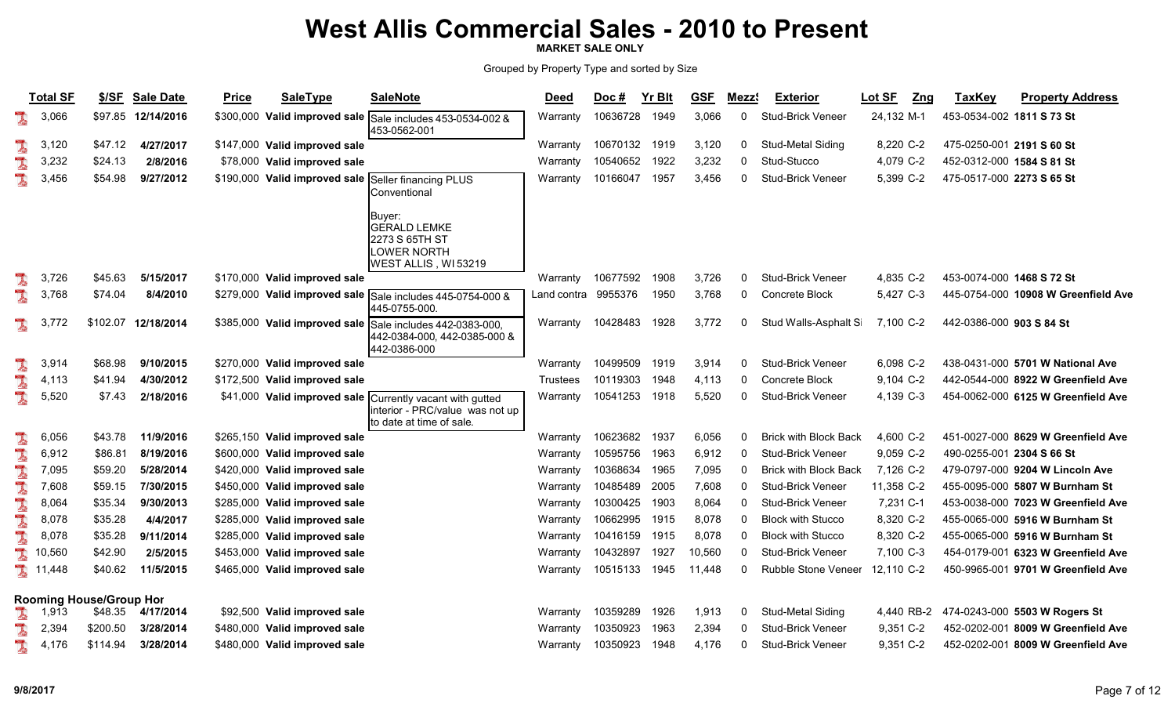MARKET SALE ONLY

|          | <b>Total SF</b> | \$/SE                          | <b>Sale Date</b> | <b>Price</b> | <b>SaleType</b>               | <b>SaleNote</b>                                                                                           | <b>Deed</b>         | $Doc$ #  | Yr Blt | <b>GSF</b> | Mezz <sup>®</sup> | <b>Exterior</b>              | Lot SF<br>Z <sub>ng</sub> | <b>TaxKey</b>             | <b>Property Address</b>                  |
|----------|-----------------|--------------------------------|------------------|--------------|-------------------------------|-----------------------------------------------------------------------------------------------------------|---------------------|----------|--------|------------|-------------------|------------------------------|---------------------------|---------------------------|------------------------------------------|
| 1        | 3,066           | \$97.85                        | 12/14/2016       |              |                               | \$300,000 Valid improved sale Sale includes 453-0534-002 &<br>453-0562-001                                | Warrantv            | 10636728 | 1949   | 3,066      | $\mathbf{0}$      | <b>Stud-Brick Veneer</b>     | 24,132 M-1                | 453-0534-002 1811 S 73 St |                                          |
| I        | 3,120           | \$47.12                        | 4/27/2017        |              | \$147,000 Valid improved sale |                                                                                                           | Warranty            | 10670132 | 1919   | 3,120      | 0                 | Stud-Metal Siding            | 8,220 C-2                 |                           | 475-0250-001 2191 S 60 St                |
| L        | 3,232           | \$24.13                        | 2/8/2016         |              | \$78,000 Valid improved sale  |                                                                                                           | Warranty            | 10540652 | 1922   | 3,232      |                   | Stud-Stucco                  | 4,079 C-2                 | 452-0312-000 1584 S 81 St |                                          |
| L        | 3,456           | \$54.98                        | 9/27/2012        |              |                               | \$190,000 Valid improved sale Seller financing PLUS<br>Conventional                                       | Warranty            | 10166047 | 1957   | 3,456      |                   | <b>Stud-Brick Veneer</b>     | 5,399 C-2                 | 475-0517-000 2273 S 65 St |                                          |
|          |                 |                                |                  |              |                               | Buyer:<br><b>GERALD LEMKE</b><br>2273 S 65TH ST<br>LOWER NORTH<br>WEST ALLIS, WI53219                     |                     |          |        |            |                   |                              |                           |                           |                                          |
|          | 3,726           | \$45.63                        | 5/15/2017        |              | \$170,000 Valid improved sale |                                                                                                           | Warranty            | 10677592 | 1908   | 3,726      | $\Omega$          | <b>Stud-Brick Veneer</b>     | 4,835 C-2                 | 453-0074-000 1468 S 72 St |                                          |
| L        | 3,768           | \$74.04                        | 8/4/2010         |              |                               | \$279,000 Valid improved sale Sale includes 445-0754-000 &<br>445-0755-000.                               | Land contra 9955376 |          | 1950   | 3,768      | $\mathbf{0}$      | Concrete Block               | 5,427 C-3                 |                           | 445-0754-000 10908 W Greenfield Ave      |
| J.       | 3,772           | \$102.07                       | 12/18/2014       |              |                               | \$385,000 Valid improved sale Sale includes 442-0383-000,<br>442-0384-000, 442-0385-000 &<br>442-0386-000 | Warranty            | 10428483 | 1928   | 3,772      | 0                 | Stud Walls-Asphalt Si        | 7,100 C-2                 | 442-0386-000 903 S 84 St  |                                          |
|          | 3,914           | \$68.98                        | 9/10/2015        |              | \$270,000 Valid improved sale |                                                                                                           | Warranty            | 10499509 | 1919   | 3,914      |                   | Stud-Brick Veneer            | 6,098 C-2                 |                           | 438-0431-000 5701 W National Ave         |
| L        | 4,113           | \$41.94                        | 4/30/2012        |              | \$172,500 Valid improved sale |                                                                                                           | <b>Trustees</b>     | 10119303 | 1948   | 4,113      |                   | <b>Concrete Block</b>        | 9,104 C-2                 |                           | 442-0544-000 8922 W Greenfield Ave       |
| I        | 5,520           | \$7.43                         | 2/18/2016        |              | \$41,000 Valid improved sale  | Currently vacant with gutted<br>interior - PRC/value was not up<br>to date at time of sale.               | Warranty            | 10541253 | 1918   | 5,520      | $\mathbf{0}$      | <b>Stud-Brick Veneer</b>     | 4,139 C-3                 |                           | 454-0062-000 6125 W Greenfield Ave       |
| L        | 6,056           | \$43.78                        | 11/9/2016        |              | \$265,150 Valid improved sale |                                                                                                           | Warranty            | 10623682 | 1937   | 6,056      |                   | <b>Brick with Block Back</b> | 4,600 C-2                 |                           | 451-0027-000 8629 W Greenfield Ave       |
|          | 6,912           | \$86.81                        | 8/19/2016        |              | \$600,000 Valid improved sale |                                                                                                           | Warranty            | 10595756 | 1963   | 6,912      |                   | <b>Stud-Brick Veneer</b>     | 9,059 C-2                 |                           | 490-0255-001 2304 S 66 St                |
| L        | 7,095           | \$59.20                        | 5/28/2014        |              | \$420,000 Valid improved sale |                                                                                                           | Warranty            | 10368634 | 1965   | 7,095      |                   | <b>Brick with Block Back</b> | 7,126 C-2                 |                           | 479-0797-000 9204 W Lincoln Ave          |
| <b>A</b> | 7,608           | \$59.15                        | 7/30/2015        |              | \$450,000 Valid improved sale |                                                                                                           | Warranty            | 10485489 | 2005   | 7,608      |                   | Stud-Brick Veneer            | 11,358 C-2                |                           | 455-0095-000 5807 W Burnham St           |
|          | 8,064           | \$35.34                        | 9/30/2013        |              | \$285,000 Valid improved sale |                                                                                                           | Warranty            | 10300425 | 1903   | 8,064      |                   | Stud-Brick Veneer            | 7,231 C-1                 |                           | 453-0038-000 7023 W Greenfield Ave       |
| L        | 8,078           | \$35.28                        | 4/4/2017         |              | \$285,000 Valid improved sale |                                                                                                           | Warranty            | 10662995 | 1915   | 8,078      | 0                 | <b>Block with Stucco</b>     | 8,320 C-2                 |                           | 455-0065-000 5916 W Burnham St           |
| L        | 8,078           | \$35.28                        | 9/11/2014        |              | \$285,000 Valid improved sale |                                                                                                           | Warranty            | 10416159 | 1915   | 8,078      |                   | <b>Block with Stucco</b>     | 8,320 C-2                 |                           | 455-0065-000 5916 W Burnham St           |
| L        | 10,560          | \$42.90                        | 2/5/2015         |              | \$453,000 Valid improved sale |                                                                                                           | Warranty            | 10432897 | 1927   | 10,560     |                   | Stud-Brick Veneer            | 7,100 C-3                 |                           | 454-0179-001 6323 W Greenfield Ave       |
| I        | 11,448          | \$40.62                        | 11/5/2015        |              | \$465,000 Valid improved sale |                                                                                                           | Warranty            | 10515133 | 1945   | 11,448     |                   | Rubble Stone Veneer          | 12,110 C-2                |                           | 450-9965-001 9701 W Greenfield Ave       |
|          |                 | <b>Rooming House/Group Hor</b> |                  |              |                               |                                                                                                           |                     |          |        |            |                   |                              |                           |                           |                                          |
| l        | 1,913           | \$48.35                        | 4/17/2014        |              | \$92,500 Valid improved sale  |                                                                                                           | Warranty            | 10359289 | 1926   | 1,913      | 0                 | Stud-Metal Siding            |                           |                           | 4,440 RB-2 474-0243-000 5503 W Rogers St |
|          | 2,394           | \$200.50                       | 3/28/2014        |              | \$480,000 Valid improved sale |                                                                                                           | Warranty            | 10350923 | 1963   | 2,394      |                   | Stud-Brick Veneer            | 9,351 C-2                 |                           | 452-0202-001 8009 W Greenfield Ave       |
|          | 4,176           | \$114.94                       | 3/28/2014        |              | \$480,000 Valid improved sale |                                                                                                           | Warranty            | 10350923 | 1948   | 4,176      |                   | Stud-Brick Veneer            | 9,351 C-2                 |                           | 452-0202-001 8009 W Greenfield Ave       |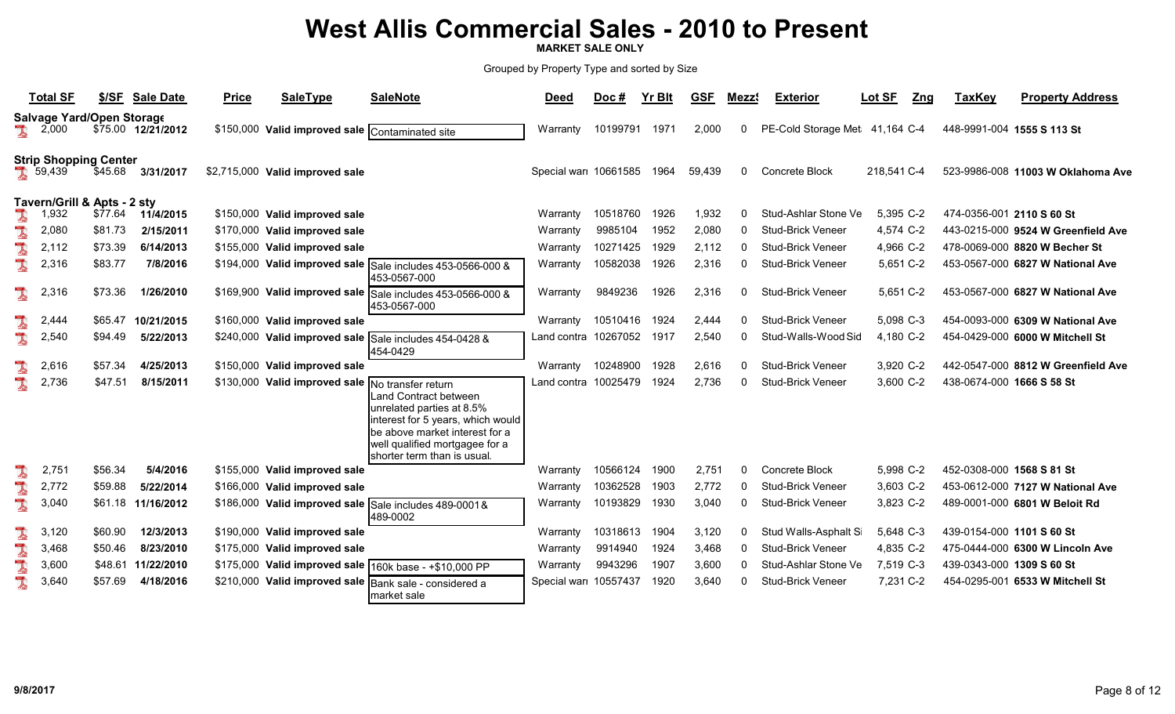MARKET SALE ONLY

|          | <b>Total SF</b>                        | \$/SE   | <b>Sale Date</b>   | <b>Price</b> | <b>SaleType</b>                                  | <b>SaleNote</b>                                                                                                                                                                            | <u>Deed</u>          | $Doc$ #  | <b>Yr Blt</b> | <b>GSF</b> | Mezz <sup>®</sup> | <b>Exterior</b>                | <u>Lot SF</u><br><u>Zng</u> | <b>TaxKey</b>             | <b>Property Address</b>            |
|----------|----------------------------------------|---------|--------------------|--------------|--------------------------------------------------|--------------------------------------------------------------------------------------------------------------------------------------------------------------------------------------------|----------------------|----------|---------------|------------|-------------------|--------------------------------|-----------------------------|---------------------------|------------------------------------|
| <b>A</b> | Salvage Yard/Open Storage<br>2,000     |         | \$75.00 12/21/2012 |              | \$150,000 Valid improved sale Contaminated site  |                                                                                                                                                                                            | Warranty             | 10199791 | 1971          | 2,000      | 0                 | PE-Cold Storage Met 41,164 C-4 |                             |                           | 448-9991-004 1555 S 113 St         |
|          | <b>Strip Shopping Center</b><br>39,439 | \$45.68 | 3/31/2017          |              | \$2,715,000 Valid improved sale                  |                                                                                                                                                                                            | Special war 10661585 |          | 1964          | 59,439     | $\mathbf{0}$      | <b>Concrete Block</b>          | 218,541 C-4                 |                           | 523-9986-008 11003 W Oklahoma Ave  |
|          | Tavern/Grill & Apts - 2 sty<br>1,932   | \$77.64 | 11/4/2015          |              | \$150,000 Valid improved sale                    |                                                                                                                                                                                            | Warranty             | 10518760 | 1926          | 1,932      | 0                 | Stud-Ashlar Stone Ve           | 5,395 C-2                   |                           | 474-0356-001 2110 S 60 St          |
| <b>A</b> | 2,080                                  | \$81.73 | 2/15/2011          |              | \$170,000 Valid improved sale                    |                                                                                                                                                                                            | Warranty             | 9985104  | 1952          | 2,080      | 0                 | <b>Stud-Brick Veneer</b>       | 4,574 C-2                   |                           | 443-0215-000 9524 W Greenfield Ave |
| I        | 2,112                                  | \$73.39 | 6/14/2013          |              | \$155,000 Valid improved sale                    |                                                                                                                                                                                            | Warranty             | 10271425 | 1929          | 2,112      | $\Omega$          | <b>Stud-Brick Veneer</b>       | 4,966 C-2                   |                           | 478-0069-000 8820 W Becher St      |
| L        | 2,316                                  | \$83.77 | 7/8/2016           |              |                                                  | \$194,000 Valid improved sale Sale includes 453-0566-000 &<br>453-0567-000                                                                                                                 | Warranty             | 10582038 | 1926          | 2,316      | <sup>0</sup>      | <b>Stud-Brick Veneer</b>       | 5,651 C-2                   |                           | 453-0567-000 6827 W National Ave   |
| L        | 2,316                                  | \$73.36 | 1/26/2010          |              |                                                  | \$169,900 Valid improved sale Sale includes 453-0566-000 &<br>453-0567-000                                                                                                                 | Warranty             | 9849236  | 1926          | 2,316      | $\mathbf{0}$      | <b>Stud-Brick Veneer</b>       | 5,651 C-2                   |                           | 453-0567-000 6827 W National Ave   |
|          | 2,444                                  | \$65.47 | 10/21/2015         |              | \$160,000 Valid improved sale                    |                                                                                                                                                                                            | Warranty             | 10510416 | 1924          | 2,444      | <sup>0</sup>      | <b>Stud-Brick Veneer</b>       | 5.098 C-3                   |                           | 454-0093-000 6309 W National Ave   |
| L        | 2,540                                  | \$94.49 | 5/22/2013          |              |                                                  | \$240,000 Valid improved sale Sale includes 454-0428 &<br>454-0429                                                                                                                         | Land contra 10267052 |          | 1917          | 2,540      | 0                 | Stud-Walls-Wood Sid            | 4,180 C-2                   |                           | 454-0429-000 6000 W Mitchell St    |
|          | 2,616                                  | \$57.34 | 4/25/2013          |              | \$150,000 Valid improved sale                    |                                                                                                                                                                                            | Warranty             | 10248900 | 1928          | 2,616      | $\Omega$          | <b>Stud-Brick Veneer</b>       | 3,920 C-2                   |                           | 442-0547-000 8812 W Greenfield Ave |
| L        | 2,736                                  | \$47.51 | 8/15/2011          |              | \$130,000 Valid improved sale No transfer return | Land Contract between<br>unrelated parties at 8.5%<br>interest for 5 years, which would<br>be above market interest for a<br>well qualified mortgagee for a<br>shorter term than is usual. | Land contra 10025479 |          | 1924          | 2,736      | $\Omega$          | <b>Stud-Brick Veneer</b>       | 3.600 C-2                   | 438-0674-000 1666 S 58 St |                                    |
| 1        | 2,751                                  | \$56.34 | 5/4/2016           |              | \$155,000 Valid improved sale                    |                                                                                                                                                                                            | Warranty             | 10566124 | 1900          | 2,751      | $\Omega$          | Concrete Block                 | 5,998 C-2                   | 452-0308-000 1568 S 81 St |                                    |
| L        | 2,772                                  | \$59.88 | 5/22/2014          |              | \$166,000 Valid improved sale                    |                                                                                                                                                                                            | Warranty             | 10362528 | 1903          | 2,772      | $\Omega$          | <b>Stud-Brick Veneer</b>       | 3,603 C-2                   |                           | 453-0612-000 7127 W National Ave   |
| L        | 3,040                                  | \$61.18 | 11/16/2012         |              |                                                  | \$186,000 Valid improved sale Sale includes 489-0001&<br>489-0002                                                                                                                          | Warranty             | 10193829 | 1930          | 3,040      | O                 | <b>Stud-Brick Veneer</b>       | 3,823 C-2                   |                           | 489-0001-000 6801 W Beloit Rd      |
| 1        | 3,120                                  | \$60.90 | 12/3/2013          |              | \$190,000 Valid improved sale                    |                                                                                                                                                                                            | Warranty             | 10318613 | 1904          | 3,120      | 0                 | Stud Walls-Asphalt S           | 5,648 C-3                   | 439-0154-000 1101 S 60 St |                                    |
| L        | 3,468                                  | \$50.46 | 8/23/2010          |              | \$175,000 Valid improved sale                    |                                                                                                                                                                                            | Warranty             | 9914940  | 1924          | 3,468      | $\Omega$          | <b>Stud-Brick Veneer</b>       | 4,835 C-2                   |                           | 475-0444-000 6300 W Lincoln Ave    |
| L        | 3,600                                  | \$48.61 | 11/22/2010         |              |                                                  | \$175,000 Valid improved sale 160k base - +\$10,000 PP                                                                                                                                     | Warranty             | 9943296  | 1907          | 3,600      |                   | Stud-Ashlar Stone Ve           | 7,519 C-3                   | 439-0343-000 1309 S 60 St |                                    |
| L        | 3,640                                  | \$57.69 | 4/18/2016          |              |                                                  | \$210,000 Valid improved sale Bank sale - considered a<br>market sale                                                                                                                      | Special war 10557437 |          | 1920          | 3,640      | O                 | <b>Stud-Brick Veneer</b>       | 7,231 C-2                   |                           | 454-0295-001 6533 W Mitchell St    |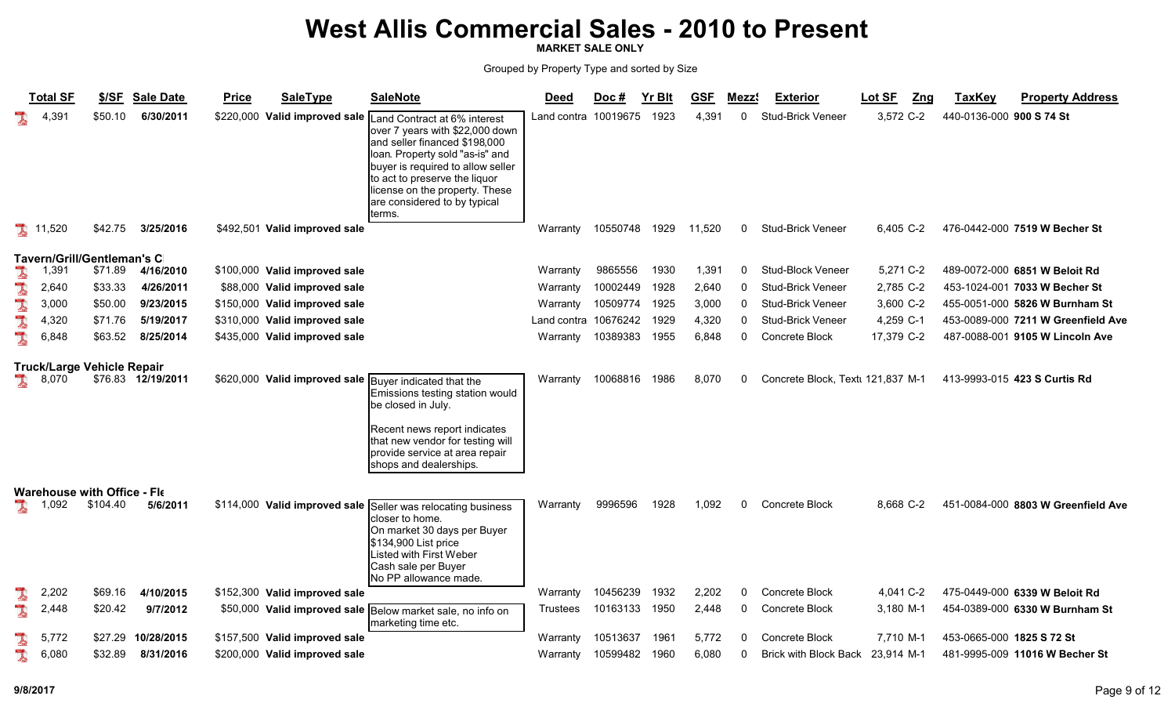MARKET SALE ONLY

|   | <b>Total SF</b>                    | <u>\$/SF</u> | <b>Sale Date</b>   | <b>Price</b> | <b>SaleType</b>               | <b>SaleNote</b>                                                                                                                                                                                                                                                                       | <u>Deed</u>          | Doc #    | Yr Blt | <b>GSF</b> | Mezz <sup>s</sup> | <b>Exterior</b>                   | Lot SF<br>Z <sub>ng</sub> | <b>TaxKey</b>            | <b>Property Address</b>            |
|---|------------------------------------|--------------|--------------------|--------------|-------------------------------|---------------------------------------------------------------------------------------------------------------------------------------------------------------------------------------------------------------------------------------------------------------------------------------|----------------------|----------|--------|------------|-------------------|-----------------------------------|---------------------------|--------------------------|------------------------------------|
|   | 4,391                              | \$50.10      | 6/30/2011          |              | \$220,000 Valid improved sale | Land Contract at 6% interest<br>over 7 years with \$22,000 down<br>and seller financed \$198,000<br>loan. Property sold "as-is" and<br>buyer is required to allow seller<br>to act to preserve the liquor<br>license on the property. These<br>are considered to by typical<br>terms. | Land contra 10019675 |          | 1923   | 4,391      | $\mathbf{0}$      | <b>Stud-Brick Veneer</b>          | 3,572 C-2                 | 440-0136-000 900 S 74 St |                                    |
|   | 11,520                             | \$42.75      | 3/25/2016          |              | \$492,501 Valid improved sale |                                                                                                                                                                                                                                                                                       | Warranty             | 10550748 | 1929   | 11,520     | 0                 | <b>Stud-Brick Veneer</b>          | 6,405 C-2                 |                          | 476-0442-000 7519 W Becher St      |
|   | <b>Tavern/Grill/Gentleman's C</b>  |              |                    |              |                               |                                                                                                                                                                                                                                                                                       |                      |          |        |            |                   |                                   |                           |                          |                                    |
| l | 1,391                              | \$71.89      | 4/16/2010          |              | \$100,000 Valid improved sale |                                                                                                                                                                                                                                                                                       | Warranty             | 9865556  | 1930   | 1,391      | 0                 | Stud-Block Veneer                 | 5,271 C-2                 |                          | 489-0072-000 6851 W Beloit Rd      |
| L | 2,640                              | \$33.33      | 4/26/2011          |              | \$88,000 Valid improved sale  |                                                                                                                                                                                                                                                                                       | Warranty             | 10002449 | 1928   | 2,640      | 0                 | <b>Stud-Brick Veneer</b>          | 2,785 C-2                 |                          | 453-1024-001 7033 W Becher St      |
|   | 3,000                              | \$50.00      | 9/23/2015          |              | \$150,000 Valid improved sale |                                                                                                                                                                                                                                                                                       | Warranty             | 10509774 | 1925   | 3,000      | 0                 | <b>Stud-Brick Veneer</b>          | 3,600 C-2                 |                          | 455-0051-000 5826 W Burnham St     |
| L | 4,320                              | \$71.76      | 5/19/2017          |              | \$310,000 Valid improved sale |                                                                                                                                                                                                                                                                                       | Land contra          | 10676242 | 1929   | 4,320      | 0                 | <b>Stud-Brick Veneer</b>          | 4,259 C-1                 |                          | 453-0089-000 7211 W Greenfield Ave |
| I | 6,848                              | \$63.52      | 8/25/2014          |              | \$435,000 Valid improved sale |                                                                                                                                                                                                                                                                                       | Warranty             | 10389383 | 1955   | 6,848      | 0                 | Concrete Block                    | 17,379 C-2                |                          | 487-0088-001 9105 W Lincoln Ave    |
|   | <b>Truck/Large Vehicle Repair</b>  |              |                    |              |                               |                                                                                                                                                                                                                                                                                       |                      |          |        |            |                   |                                   |                           |                          |                                    |
|   | 8,070                              |              | \$76.83 12/19/2011 |              | \$620,000 Valid improved sale | Buyer indicated that the<br>Emissions testing station would<br>be closed in July.                                                                                                                                                                                                     | Warranty             | 10068816 | 1986   | 8,070      | 0                 | Concrete Block, Textl 121,837 M-1 |                           |                          | 413-9993-015 423 S Curtis Rd       |
|   |                                    |              |                    |              |                               | Recent news report indicates<br>that new vendor for testing will<br>provide service at area repair<br>shops and dealerships.                                                                                                                                                          |                      |          |        |            |                   |                                   |                           |                          |                                    |
|   | <b>Warehouse with Office - Fle</b> |              |                    |              |                               |                                                                                                                                                                                                                                                                                       |                      |          |        |            |                   |                                   |                           |                          |                                    |
| A | 1,092                              | \$104.40     | 5/6/2011           |              | \$114,000 Valid improved sale | Seller was relocating business<br>closer to home.<br>On market 30 days per Buyer<br>\$134,900 List price<br>Listed with First Weber<br>Cash sale per Buyer<br>No PP allowance made.                                                                                                   | Warranty             | 9996596  | 1928   | 1,092      | 0                 | Concrete Block                    | 8.668 C-2                 |                          | 451-0084-000 8803 W Greenfield Ave |
| Ã | 2,202                              | \$69.16      | 4/10/2015          |              | \$152,300 Valid improved sale |                                                                                                                                                                                                                                                                                       | Warranty             | 10456239 | 1932   | 2,202      | 0                 | <b>Concrete Block</b>             | 4,041 C-2                 |                          | 475-0449-000 6339 W Beloit Rd      |
|   | 2,448                              | \$20.42      | 9/7/2012           |              |                               | \$50,000 Valid improved sale Below market sale, no info on<br>marketing time etc.                                                                                                                                                                                                     | Trustees             | 10163133 | 1950   | 2,448      | 0                 | Concrete Block                    | 3,180 M-1                 |                          | 454-0389-000 6330 W Burnham St     |
|   | 5,772                              | \$27.29      | 10/28/2015         |              | \$157,500 Valid improved sale |                                                                                                                                                                                                                                                                                       | Warranty             | 10513637 | 1961   | 5,772      | $\Omega$          | Concrete Block                    | 7.710 M-1                 |                          | 453-0665-000 1825 S 72 St          |
|   | 6,080                              | \$32.89      | 8/31/2016          |              | \$200,000 Valid improved sale |                                                                                                                                                                                                                                                                                       | Warranty             | 10599482 | 1960   | 6,080      | 0                 | <b>Brick with Block Back</b>      | 23,914 M-1                |                          | 481-9995-009 11016 W Becher St     |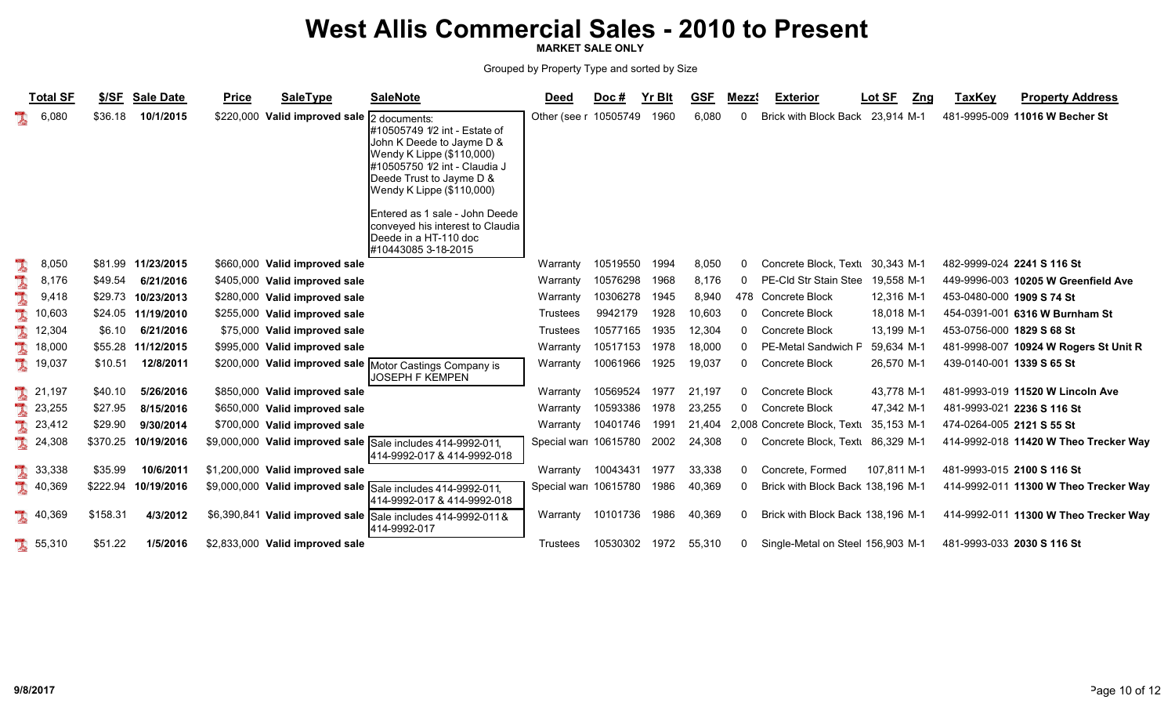MARKET SALE ONLY

|   | <b>Total SF</b> | \$/SF    | <b>Sale Date</b>    | <b>Price</b> | <b>SaleType</b>                 | <b>SaleNote</b>                                                                                                                                                                                                                                                                                                         | <b>Deed</b>          | Doc#          | <b>Yr Blt</b> | <b>GSF</b> | Mezz <sup>®</sup> | <b>Exterior</b>                   | Lot SF      | <b>TaxKey</b><br>Zng      | <b>Property Address</b>               |
|---|-----------------|----------|---------------------|--------------|---------------------------------|-------------------------------------------------------------------------------------------------------------------------------------------------------------------------------------------------------------------------------------------------------------------------------------------------------------------------|----------------------|---------------|---------------|------------|-------------------|-----------------------------------|-------------|---------------------------|---------------------------------------|
|   | 6,080           | \$36.18  | 10/1/2015           |              | \$220,000 Valid improved sale   | 2 documents:<br>#10505749 1/2 int - Estate of<br>John K Deede to Jayme D &<br>Wendy K Lippe (\$110,000)<br>#10505750 1/2 int - Claudia J<br>Deede Trust to Jayme D &<br>Wendy K Lippe (\$110,000)<br>Entered as 1 sale - John Deede<br>conveyed his interest to Claudia<br>Deede in a HT-110 doc<br>#10443085 3-18-2015 | Other (see r         | 10505749      | 1960          | 6,080      | 0                 | <b>Brick with Block Back</b>      | 23.914 M-1  |                           | 481-9995-009 11016 W Becher St        |
| I | 8,050           |          | \$81.99 11/23/2015  |              | \$660,000 Valid improved sale   |                                                                                                                                                                                                                                                                                                                         | Warranty             | 10519550      | 1994          | 8,050      | 0                 | Concrete Block, Textu             | 30.343 M-1  |                           | 482-9999-024 2241 S 116 St            |
|   | 8,176           | \$49.54  | 6/21/2016           |              | \$405,000 Valid improved sale   |                                                                                                                                                                                                                                                                                                                         | Warranty             | 10576298      | 1968          | 8,176      | 0                 | PE-Cld Str Stain Stee             | 19,558 M-1  |                           | 449-9996-003 10205 W Greenfield Ave   |
|   | 9,418           |          | \$29.73 10/23/2013  |              | \$280,000 Valid improved sale   |                                                                                                                                                                                                                                                                                                                         | Warranty             | 10306278      | 1945          | 8,940      |                   | 478 Concrete Block                | 12,316 M-1  | 453-0480-000 1909 S 74 St |                                       |
|   | 10,603          |          | \$24.05 11/19/2010  |              | \$255,000 Valid improved sale   |                                                                                                                                                                                                                                                                                                                         | <b>Trustees</b>      | 9942179       | 1928          | 10,603     | $\Omega$          | Concrete Block                    | 18.018 M-1  |                           | 454-0391-001 6316 W Burnham St        |
|   | 12,304          | \$6.10   | 6/21/2016           |              | \$75,000 Valid improved sale    |                                                                                                                                                                                                                                                                                                                         | <b>Trustees</b>      | 10577165      | 1935          | 12,304     | $\Omega$          | Concrete Block                    | 13,199 M-1  | 453-0756-000 1829 S 68 St |                                       |
|   | 18,000          |          | \$55.28 11/12/2015  |              | \$995,000 Valid improved sale   |                                                                                                                                                                                                                                                                                                                         | Warranty             | 10517153      | 1978          | 18,000     | $\Omega$          | PE-Metal Sandwich F               | 59,634 M-1  |                           | 481-9998-007 10924 W Rogers St Unit R |
|   | 19,037          | \$10.51  | 12/8/2011           |              | \$200,000 Valid improved sale   | Motor Castings Company is<br>IJOSEPH F KEMPEN                                                                                                                                                                                                                                                                           | Warranty             | 10061966      | 1925          | 19,037     | $\Omega$          | Concrete Block                    | 26,570 M-1  | 439-0140-001 1339 S 65 St |                                       |
|   | 21,197          | \$40.10  | 5/26/2016           |              | \$850,000 Valid improved sale   |                                                                                                                                                                                                                                                                                                                         | Warranty             | 10569524      | 1977          | 21,197     | 0                 | Concrete Block                    | 43,778 M-1  |                           | 481-9993-019 11520 W Lincoln Ave      |
|   | 23,255          | \$27.95  | 8/15/2016           |              | \$650,000 Valid improved sale   |                                                                                                                                                                                                                                                                                                                         | Warranty             | 10593386      | 1978          | 23,255     | $\Omega$          | Concrete Block                    | 47,342 M-1  |                           | 481-9993-021 2236 S 116 St            |
|   | 23,412          | \$29.90  | 9/30/2014           |              | \$700,000 Valid improved sale   |                                                                                                                                                                                                                                                                                                                         | Warranty             | 10401746      | 1991          | 21.404     |                   | 2,008 Concrete Block, Textu       | 35.153 M-1  | 474-0264-005 2121 S 55 St |                                       |
|   | 24,308          |          | \$370.25 10/19/2016 |              |                                 | \$9,000,000 Valid improved sale Sale includes 414-9992-011,<br>414-9992-017 & 414-9992-018                                                                                                                                                                                                                              | Special war 10615780 |               | 2002          | 24,308     | $\mathbf 0$       | Concrete Block, Textu             | 86,329 M-1  |                           | 414-9992-018 11420 W Theo Trecker Way |
|   | 33,338          | \$35.99  | 10/6/2011           |              | \$1,200,000 Valid improved sale |                                                                                                                                                                                                                                                                                                                         | Warranty             | 10043431 1977 |               | 33,338     | 0                 | Concrete, Formed                  | 107,811 M-1 |                           | 481-9993-015 2100 S 116 St            |
|   | 40,369          | \$222.94 | 10/19/2016          |              | \$9,000,000 Valid improved sale | <b>Sale includes 414-9992-011</b><br>414-9992-017 & 414-9992-018                                                                                                                                                                                                                                                        | Special war 10615780 |               | 1986          | 40,369     | 0                 | Brick with Block Back 138,196 M-1 |             |                           | 414-9992-011 11300 W Theo Trecker Way |
|   | 40,369          | \$158.31 | 4/3/2012            |              | \$6,390,841 Valid improved sale | Sale includes 414-9992-011&<br>414-9992-017                                                                                                                                                                                                                                                                             | Warranty             | 10101736 1986 |               | 40,369     | 0                 | Brick with Block Back 138,196 M-1 |             |                           | 414-9992-011 11300 W Theo Trecker Way |
|   | 36,310          | \$51.22  | 1/5/2016            |              | \$2,833,000 Valid improved sale |                                                                                                                                                                                                                                                                                                                         | <b>Trustees</b>      | 10530302 1972 |               | 55,310     | 0                 | Single-Metal on Steel 156,903 M-1 |             |                           | 481-9993-033 2030 S 116 St            |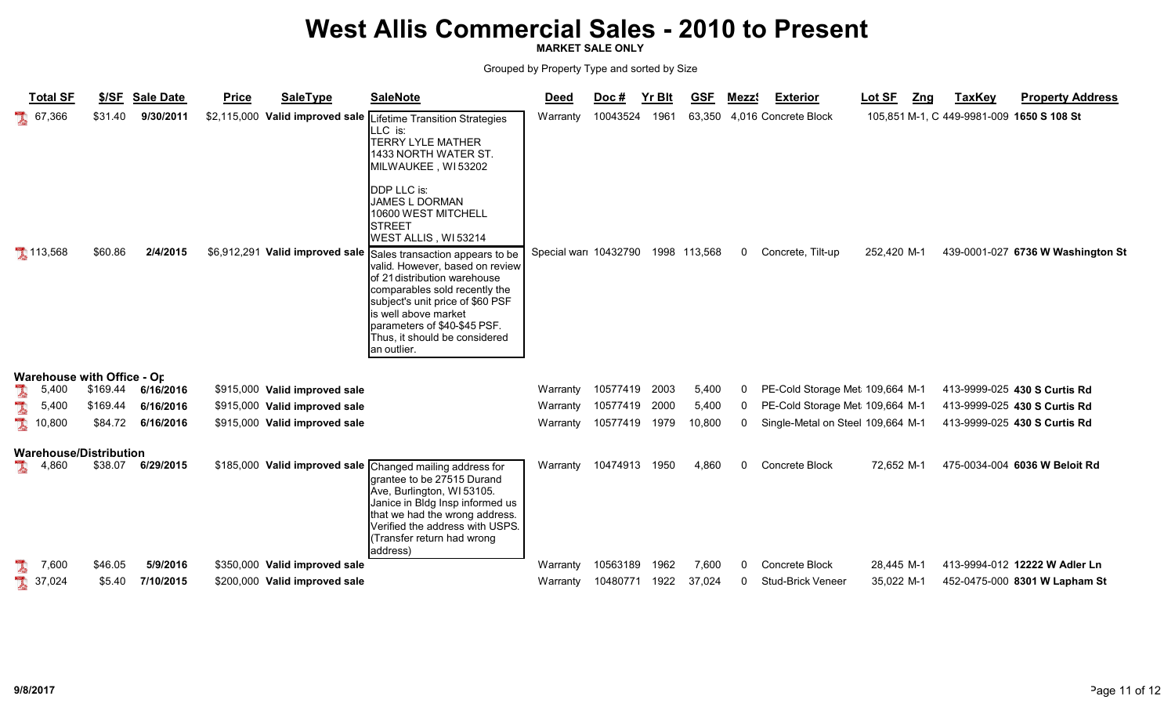MARKET SALE ONLY

| <b>Total SF</b>                            | \$/SF              | <b>Sale Date</b>      | <b>Price</b> | <b>SaleType</b>                                         | <b>SaleNote</b>                                                                                                                                                                                                                                                                                                                                                                                                                                                                                     | <b>Deed</b>                       | Doc #    | <b>Yr Blt</b> | <b>GSF</b>             | Mezzs        | <b>Exterior</b>                           | <u> Lot SF</u> | <u>Zng</u> | <b>TaxKey</b>                             | <b>Property Address</b>           |
|--------------------------------------------|--------------------|-----------------------|--------------|---------------------------------------------------------|-----------------------------------------------------------------------------------------------------------------------------------------------------------------------------------------------------------------------------------------------------------------------------------------------------------------------------------------------------------------------------------------------------------------------------------------------------------------------------------------------------|-----------------------------------|----------|---------------|------------------------|--------------|-------------------------------------------|----------------|------------|-------------------------------------------|-----------------------------------|
| $\frac{1}{2}$ 67,366<br>113,568            | \$31.40<br>\$60.86 | 9/30/2011<br>2/4/2015 |              | \$2,115,000 Valid improved sale $\overline{\mathbb{L}}$ | ifetime Transition Strategies<br>LLC is:<br><b>TERRY LYLE MATHER</b><br>1433 NORTH WATER ST.<br>MILWAUKEE, WI53202<br><b>DDP LLC is:</b><br><b>JAMES L DORMAN</b><br>10600 WEST MITCHELL<br><b>STREET</b><br>WEST ALLIS, WI53214<br>\$6,912,291 Valid improved sale Sales transaction appears to be<br>valid. However, based on review<br>of 21 distribution warehouse<br>comparables sold recently the<br>subject's unit price of \$60 PSF<br>is well above market<br>parameters of \$40-\$45 PSF. | Warranty<br>Special wari 10432790 | 10043524 | 1961          | 63,350<br>1998 113,568 | $\Omega$     | 4,016 Concrete Block<br>Concrete, Tilt-up | 252,420 M-1    |            | 105,851 M-1, C 449-9981-009 1650 S 108 St | 439-0001-027 6736 W Washington St |
| <b>Warehouse with Office - Or</b><br>5,400 | \$169.44           | 6/16/2016             |              | \$915,000 Valid improved sale                           | Thus, it should be considered<br>an outlier.                                                                                                                                                                                                                                                                                                                                                                                                                                                        | Warranty                          | 10577419 | 2003          | 5,400                  |              | PE-Cold Storage Met 109,664 M-1           |                |            |                                           | 413-9999-025 430 S Curtis Rd      |
| L<br>5,400                                 | \$169.44           | 6/16/2016             |              | \$915,000 Valid improved sale                           |                                                                                                                                                                                                                                                                                                                                                                                                                                                                                                     | Warranty                          | 10577419 | 2000          | 5,400                  | $\Omega$     | PE-Cold Storage Met 109,664 M-1           |                |            |                                           | 413-9999-025 430 S Curtis Rd      |
| 10,800                                     | \$84.72            | 6/16/2016             |              | \$915,000 Valid improved sale                           |                                                                                                                                                                                                                                                                                                                                                                                                                                                                                                     | Warranty                          | 10577419 | 1979          | 10,800                 | $\mathbf{0}$ | Single-Metal on Steel 109,664 M-1         |                |            |                                           | 413-9999-025 430 S Curtis Rd      |
| <b>Warehouse/Distribution</b>              |                    |                       |              |                                                         |                                                                                                                                                                                                                                                                                                                                                                                                                                                                                                     |                                   |          |               |                        |              |                                           |                |            |                                           |                                   |
| 1<br>4,860                                 | \$38.07            | 6/29/2015             |              |                                                         | \$185,000 Valid improved sale Changed mailing address for<br>grantee to be 27515 Durand<br>Ave, Burlington, WI 53105.<br>Janice in Bldg Insp informed us<br>that we had the wrong address.<br>Verified the address with USPS.<br>Transfer return had wrong<br>address)                                                                                                                                                                                                                              | Warranty                          | 10474913 | 1950          | 4,860                  | $\Omega$     | Concrete Block                            | 72,652 M-1     |            |                                           | 475-0034-004 6036 W Beloit Rd     |
| 7,600                                      | \$46.05            | 5/9/2016              |              | \$350,000 Valid improved sale                           |                                                                                                                                                                                                                                                                                                                                                                                                                                                                                                     | Warranty                          | 10563189 | 1962          | 7,600                  | $\Omega$     | Concrete Block                            | 28,445 M-1     |            |                                           | 413-9994-012 12222 W Adler Ln     |
| L<br>37,024                                | \$5.40             | 7/10/2015             |              | \$200,000 Valid improved sale                           |                                                                                                                                                                                                                                                                                                                                                                                                                                                                                                     | Warranty                          | 10480771 | 1922          | 37,024                 | <sup>0</sup> | <b>Stud-Brick Veneer</b>                  | 35,022 M-1     |            |                                           | 452-0475-000 8301 W Lapham St     |